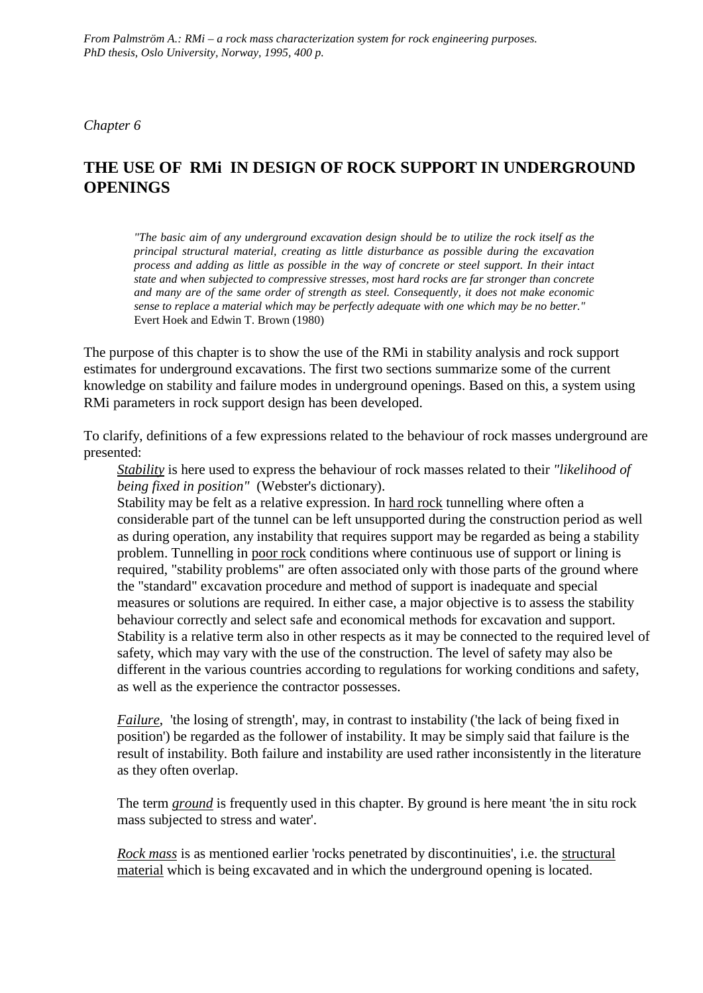*Chapter 6*

# **THE USE OF RMi IN DESIGN OF ROCK SUPPORT IN UNDERGROUND OPENINGS**

*"The basic aim of any underground excavation design should be to utilize the rock itself as the principal structural material, creating as little disturbance as possible during the excavation process and adding as little as possible in the way of concrete or steel support. In their intact state and when subjected to compressive stresses, most hard rocks are far stronger than concrete and many are of the same order of strength as steel. Consequently, it does not make economic sense to replace a material which may be perfectly adequate with one which may be no better."* Evert Hoek and Edwin T. Brown (1980)

The purpose of this chapter is to show the use of the RMi in stability analysis and rock support estimates for underground excavations. The first two sections summarize some of the current knowledge on stability and failure modes in underground openings. Based on this, a system using RMi parameters in rock support design has been developed.

To clarify, definitions of a few expressions related to the behaviour of rock masses underground are presented:

*Stability* is here used to express the behaviour of rock masses related to their *"likelihood of being fixed in position"* (Webster's dictionary).

Stability may be felt as a relative expression. In hard rock tunnelling where often a considerable part of the tunnel can be left unsupported during the construction period as well as during operation, any instability that requires support may be regarded as being a stability problem. Tunnelling in poor rock conditions where continuous use of support or lining is required, "stability problems" are often associated only with those parts of the ground where the "standard" excavation procedure and method of support is inadequate and special measures or solutions are required. In either case, a major objective is to assess the stability behaviour correctly and select safe and economical methods for excavation and support. Stability is a relative term also in other respects as it may be connected to the required level of safety, which may vary with the use of the construction. The level of safety may also be different in the various countries according to regulations for working conditions and safety, as well as the experience the contractor possesses.

*Failure*, 'the losing of strength', may, in contrast to instability ('the lack of being fixed in position') be regarded as the follower of instability. It may be simply said that failure is the result of instability. Both failure and instability are used rather inconsistently in the literature as they often overlap.

The term *ground* is frequently used in this chapter. By ground is here meant 'the in situ rock mass subjected to stress and water'.

*Rock mass* is as mentioned earlier 'rocks penetrated by discontinuities', i.e. the structural material which is being excavated and in which the underground opening is located.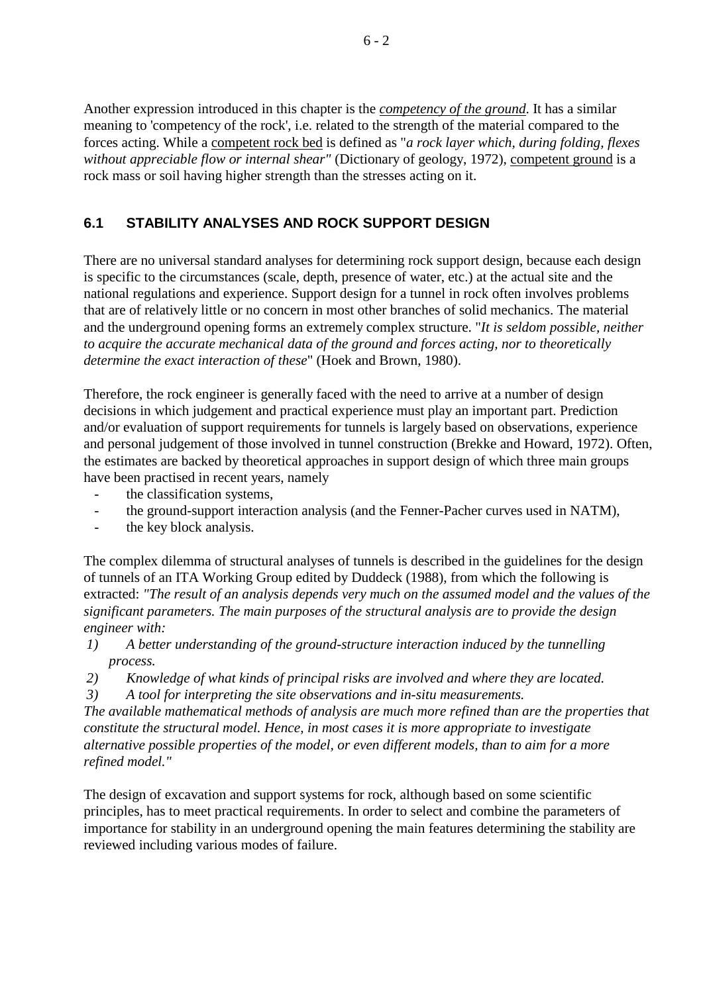Another expression introduced in this chapter is the *competency of the ground*. It has a similar meaning to 'competency of the rock', i.e. related to the strength of the material compared to the forces acting. While a competent rock bed is defined as "*a rock layer which, during folding, flexes without appreciable flow or internal shear"* (Dictionary of geology, 1972), competent ground is a rock mass or soil having higher strength than the stresses acting on it.

# **6.1 STABILITY ANALYSES AND ROCK SUPPORT DESIGN**

There are no universal standard analyses for determining rock support design, because each design is specific to the circumstances (scale, depth, presence of water, etc.) at the actual site and the national regulations and experience. Support design for a tunnel in rock often involves problems that are of relatively little or no concern in most other branches of solid mechanics. The material and the underground opening forms an extremely complex structure. "*It is seldom possible, neither to acquire the accurate mechanical data of the ground and forces acting, nor to theoretically determine the exact interaction of these*" (Hoek and Brown, 1980).

Therefore, the rock engineer is generally faced with the need to arrive at a number of design decisions in which judgement and practical experience must play an important part. Prediction and/or evaluation of support requirements for tunnels is largely based on observations, experience and personal judgement of those involved in tunnel construction (Brekke and Howard, 1972). Often, the estimates are backed by theoretical approaches in support design of which three main groups have been practised in recent years, namely

- the classification systems,
- the ground-support interaction analysis (and the Fenner-Pacher curves used in NATM),
- the key block analysis.

The complex dilemma of structural analyses of tunnels is described in the guidelines for the design of tunnels of an ITA Working Group edited by Duddeck (1988), from which the following is extracted: *"The result of an analysis depends very much on the assumed model and the values of the significant parameters. The main purposes of the structural analysis are to provide the design engineer with:*

- *1) A better understanding of the ground-structure interaction induced by the tunnelling process.*
- *2) Knowledge of what kinds of principal risks are involved and where they are located.*
- *3) A tool for interpreting the site observations and in-situ measurements.*

*The available mathematical methods of analysis are much more refined than are the properties that constitute the structural model. Hence, in most cases it is more appropriate to investigate alternative possible properties of the model, or even different models, than to aim for a more refined model."*

The design of excavation and support systems for rock, although based on some scientific principles, has to meet practical requirements. In order to select and combine the parameters of importance for stability in an underground opening the main features determining the stability are reviewed including various modes of failure.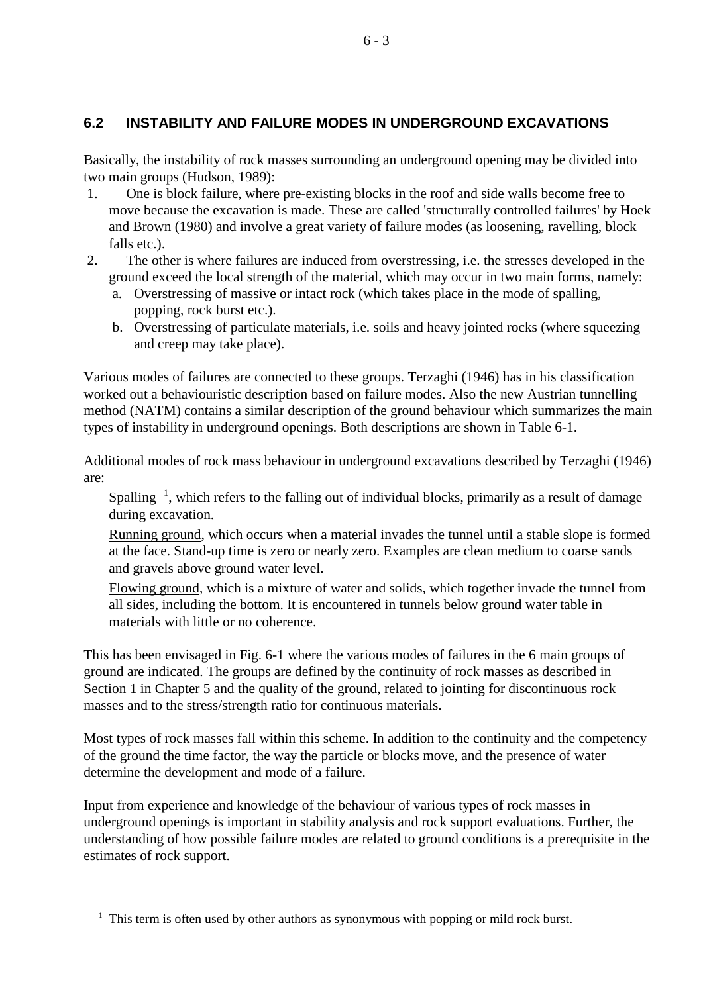# **6.2 INSTABILITY AND FAILURE MODES IN UNDERGROUND EXCAVATIONS**

Basically, the instability of rock masses surrounding an underground opening may be divided into two main groups (Hudson, 1989):

- 1. One is block failure, where pre-existing blocks in the roof and side walls become free to move because the excavation is made. These are called 'structurally controlled failures' by Hoek and Brown (1980) and involve a great variety of failure modes (as loosening, ravelling, block falls etc.).
- 2. The other is where failures are induced from overstressing, i.e. the stresses developed in the ground exceed the local strength of the material, which may occur in two main forms, namely:
	- a. Overstressing of massive or intact rock (which takes place in the mode of spalling, popping, rock burst etc.).
	- b. Overstressing of particulate materials, i.e. soils and heavy jointed rocks (where squeezing and creep may take place).

Various modes of failures are connected to these groups. Terzaghi (1946) has in his classification worked out a behaviouristic description based on failure modes. Also the new Austrian tunnelling method (NATM) contains a similar description of the ground behaviour which summarizes the main types of instability in underground openings. Both descriptions are shown in Table 6-1.

Additional modes of rock mass behaviour in underground excavations described by Terzaghi (1946) are:

Spalling  $\frac{1}{2}$  $\frac{1}{2}$  $\frac{1}{2}$ , which refers to the falling out of individual blocks, primarily as a result of damage during excavation.

Running ground, which occurs when a material invades the tunnel until a stable slope is formed at the face. Stand-up time is zero or nearly zero. Examples are clean medium to coarse sands and gravels above ground water level.

Flowing ground, which is a mixture of water and solids, which together invade the tunnel from all sides, including the bottom. It is encountered in tunnels below ground water table in materials with little or no coherence.

This has been envisaged in Fig. 6-1 where the various modes of failures in the 6 main groups of ground are indicated. The groups are defined by the continuity of rock masses as described in Section 1 in Chapter 5 and the quality of the ground, related to jointing for discontinuous rock masses and to the stress/strength ratio for continuous materials.

Most types of rock masses fall within this scheme. In addition to the continuity and the competency of the ground the time factor, the way the particle or blocks move, and the presence of water determine the development and mode of a failure.

Input from experience and knowledge of the behaviour of various types of rock masses in underground openings is important in stability analysis and rock support evaluations. Further, the understanding of how possible failure modes are related to ground conditions is a prerequisite in the estimates of rock support.

-

<span id="page-2-0"></span><sup>&</sup>lt;sup>1</sup> This term is often used by other authors as synonymous with popping or mild rock burst.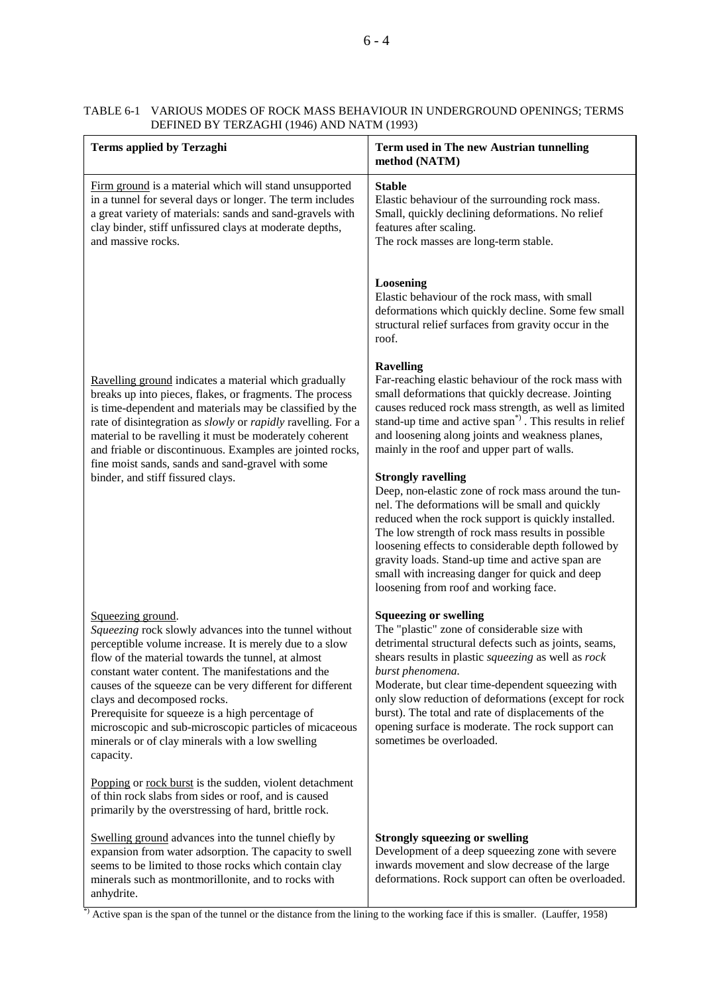| <b>Terms applied by Terzaghi</b>                                                                                                                                                                                                                                                                                                                                                                                                                                                                                              | Term used in The new Austrian tunnelling<br>method (NATM)                                                                                                                                                                                                                                                                                                                                                                                                            |
|-------------------------------------------------------------------------------------------------------------------------------------------------------------------------------------------------------------------------------------------------------------------------------------------------------------------------------------------------------------------------------------------------------------------------------------------------------------------------------------------------------------------------------|----------------------------------------------------------------------------------------------------------------------------------------------------------------------------------------------------------------------------------------------------------------------------------------------------------------------------------------------------------------------------------------------------------------------------------------------------------------------|
| Firm ground is a material which will stand unsupported<br>in a tunnel for several days or longer. The term includes<br>a great variety of materials: sands and sand-gravels with<br>clay binder, stiff unfissured clays at moderate depths,<br>and massive rocks.                                                                                                                                                                                                                                                             | <b>Stable</b><br>Elastic behaviour of the surrounding rock mass.<br>Small, quickly declining deformations. No relief<br>features after scaling.<br>The rock masses are long-term stable.                                                                                                                                                                                                                                                                             |
|                                                                                                                                                                                                                                                                                                                                                                                                                                                                                                                               | Loosening<br>Elastic behaviour of the rock mass, with small<br>deformations which quickly decline. Some few small<br>structural relief surfaces from gravity occur in the<br>roof.                                                                                                                                                                                                                                                                                   |
| Ravelling ground indicates a material which gradually<br>breaks up into pieces, flakes, or fragments. The process<br>is time-dependent and materials may be classified by the<br>rate of disintegration as slowly or rapidly ravelling. For a<br>material to be ravelling it must be moderately coherent<br>and friable or discontinuous. Examples are jointed rocks,<br>fine moist sands, sands and sand-gravel with some<br>binder, and stiff fissured clays.                                                               | <b>Ravelling</b><br>Far-reaching elastic behaviour of the rock mass with<br>small deformations that quickly decrease. Jointing<br>causes reduced rock mass strength, as well as limited<br>stand-up time and active span <sup>*</sup> ). This results in relief<br>and loosening along joints and weakness planes,<br>mainly in the roof and upper part of walls.                                                                                                    |
|                                                                                                                                                                                                                                                                                                                                                                                                                                                                                                                               | <b>Strongly ravelling</b><br>Deep, non-elastic zone of rock mass around the tun-<br>nel. The deformations will be small and quickly<br>reduced when the rock support is quickly installed.<br>The low strength of rock mass results in possible<br>loosening effects to considerable depth followed by<br>gravity loads. Stand-up time and active span are<br>small with increasing danger for quick and deep<br>loosening from roof and working face.               |
| Squeezing ground.<br>Squeezing rock slowly advances into the tunnel without<br>perceptible volume increase. It is merely due to a slow<br>flow of the material towards the tunnel, at almost<br>constant water content. The manifestations and the<br>causes of the squeeze can be very different for different<br>clays and decomposed rocks.<br>Prerequisite for squeeze is a high percentage of<br>microscopic and sub-microscopic particles of micaceous<br>minerals or of clay minerals with a low swelling<br>capacity. | <b>Squeezing or swelling</b><br>The "plastic" zone of considerable size with<br>detrimental structural defects such as joints, seams,<br>shears results in plastic squeezing as well as rock<br>burst phenomena.<br>Moderate, but clear time-dependent squeezing with<br>only slow reduction of deformations (except for rock<br>burst). The total and rate of displacements of the<br>opening surface is moderate. The rock support can<br>sometimes be overloaded. |
| Popping or rock burst is the sudden, violent detachment<br>of thin rock slabs from sides or roof, and is caused<br>primarily by the overstressing of hard, brittle rock.                                                                                                                                                                                                                                                                                                                                                      |                                                                                                                                                                                                                                                                                                                                                                                                                                                                      |
| Swelling ground advances into the tunnel chiefly by<br>expansion from water adsorption. The capacity to swell<br>seems to be limited to those rocks which contain clay<br>minerals such as montmorillonite, and to rocks with<br>anhydrite.<br>$\beta$ Active span is the span of the tunnel or the distance from the lining to the working face if this is smaller. (Lauffer, 1958)                                                                                                                                          | <b>Strongly squeezing or swelling</b><br>Development of a deep squeezing zone with severe<br>inwards movement and slow decrease of the large<br>deformations. Rock support can often be overloaded.                                                                                                                                                                                                                                                                  |

#### TABLE 6-1 VARIOUS MODES OF ROCK MASS BEHAVIOUR IN UNDERGROUND OPENINGS; TERMS DEFINED BY TERZAGHI (1946) AND NATM (1993)

Active span is the span of the tunnel or the distance from the lining to the working face if this is smaller. (Lauffer, 1958)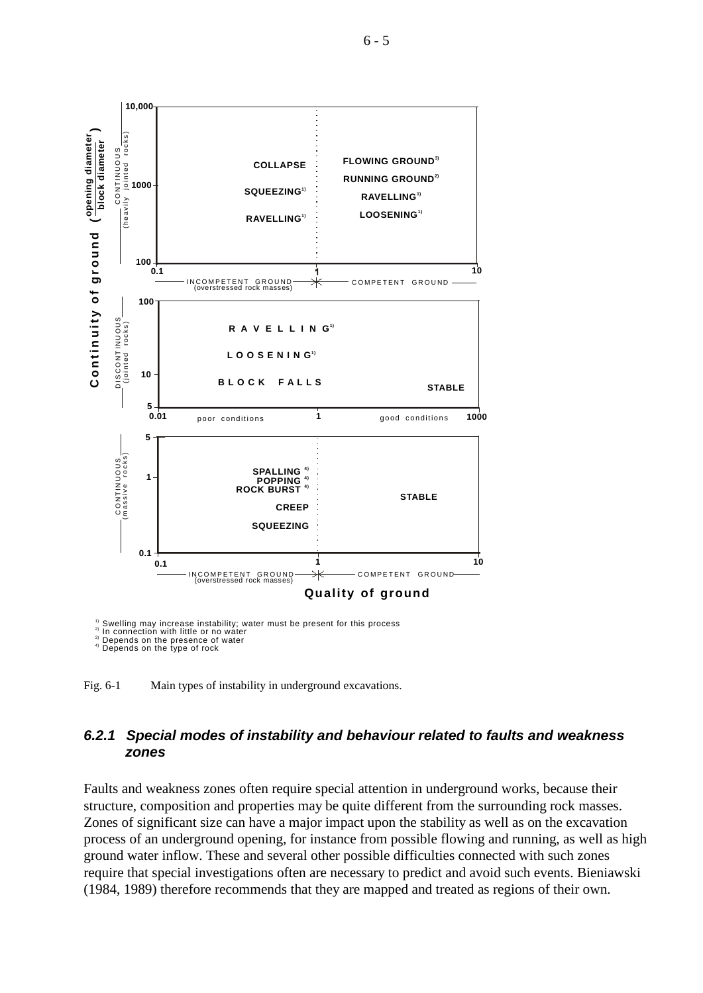

Swelling may increase instability; water must be present for this process In connection with little or no water Depends on the presence of water Depends on the type of rock

1) 2) 3) 4)

Fig. 6-1 Main types of instability in underground excavations.

## *6.2.1 Special modes of instability and behaviour related to faults and weakness zones*

Faults and weakness zones often require special attention in underground works, because their structure, composition and properties may be quite different from the surrounding rock masses. Zones of significant size can have a major impact upon the stability as well as on the excavation process of an underground opening, for instance from possible flowing and running, as well as high ground water inflow. These and several other possible difficulties connected with such zones require that special investigations often are necessary to predict and avoid such events. Bieniawski (1984, 1989) therefore recommends that they are mapped and treated as regions of their own.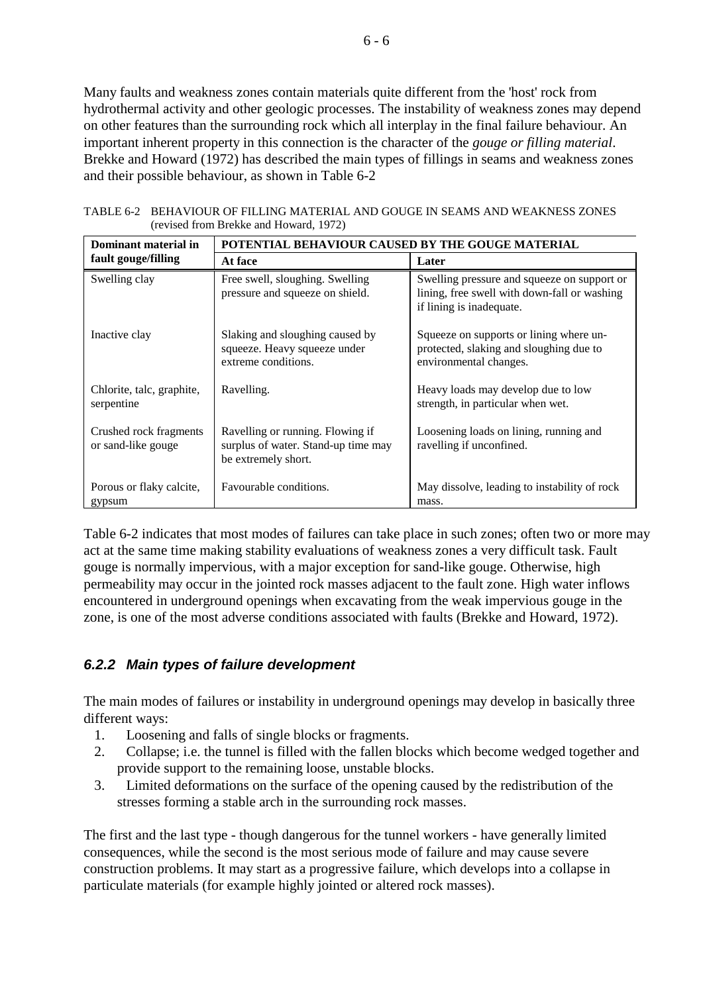Many faults and weakness zones contain materials quite different from the 'host' rock from hydrothermal activity and other geologic processes. The instability of weakness zones may depend on other features than the surrounding rock which all interplay in the final failure behaviour. An important inherent property in this connection is the character of the *gouge or filling material*. Brekke and Howard (1972) has described the main types of fillings in seams and weakness zones and their possible behaviour, as shown in Table 6-2

| Dominant material in                         | POTENTIAL BEHAVIOUR CAUSED BY THE GOUGE MATERIAL                                               |                                                                                                                         |  |
|----------------------------------------------|------------------------------------------------------------------------------------------------|-------------------------------------------------------------------------------------------------------------------------|--|
| fault gouge/filling                          | At face                                                                                        | Later                                                                                                                   |  |
| Swelling clay                                | Free swell, sloughing. Swelling<br>pressure and squeeze on shield.                             | Swelling pressure and squeeze on support or<br>lining, free swell with down-fall or washing<br>if lining is inadequate. |  |
| Inactive clay                                | Slaking and sloughing caused by<br>squeeze. Heavy squeeze under<br>extreme conditions.         | Squeeze on supports or lining where un-<br>protected, slaking and sloughing due to<br>environmental changes.            |  |
| Chlorite, talc, graphite,<br>serpentine      | Ravelling.                                                                                     | Heavy loads may develop due to low<br>strength, in particular when wet.                                                 |  |
| Crushed rock fragments<br>or sand-like gouge | Ravelling or running. Flowing if<br>surplus of water. Stand-up time may<br>be extremely short. | Loosening loads on lining, running and<br>ravelling if unconfined.                                                      |  |
| Porous or flaky calcite,<br>gypsum           | Favourable conditions.                                                                         | May dissolve, leading to instability of rock<br>mass.                                                                   |  |

TABLE 6-2 BEHAVIOUR OF FILLING MATERIAL AND GOUGE IN SEAMS AND WEAKNESS ZONES (revised from Brekke and Howard, 1972)

Table 6-2 indicates that most modes of failures can take place in such zones; often two or more may act at the same time making stability evaluations of weakness zones a very difficult task. Fault gouge is normally impervious, with a major exception for sand-like gouge. Otherwise, high permeability may occur in the jointed rock masses adjacent to the fault zone. High water inflows encountered in underground openings when excavating from the weak impervious gouge in the zone, is one of the most adverse conditions associated with faults (Brekke and Howard, 1972).

# *6.2.2 Main types of failure development*

The main modes of failures or instability in underground openings may develop in basically three different ways:

- 1. Loosening and falls of single blocks or fragments.
- 2. Collapse; i.e. the tunnel is filled with the fallen blocks which become wedged together and provide support to the remaining loose, unstable blocks.
- 3. Limited deformations on the surface of the opening caused by the redistribution of the stresses forming a stable arch in the surrounding rock masses.

The first and the last type - though dangerous for the tunnel workers - have generally limited consequences, while the second is the most serious mode of failure and may cause severe construction problems. It may start as a progressive failure, which develops into a collapse in particulate materials (for example highly jointed or altered rock masses).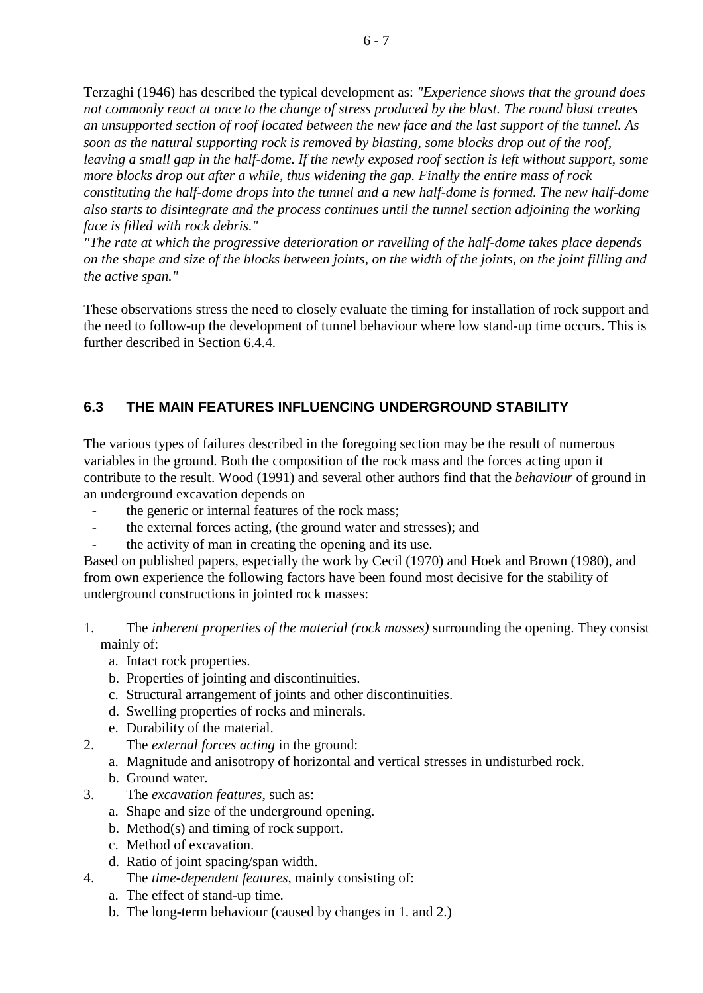Terzaghi (1946) has described the typical development as: *"Experience shows that the ground does not commonly react at once to the change of stress produced by the blast. The round blast creates an unsupported section of roof located between the new face and the last support of the tunnel. As soon as the natural supporting rock is removed by blasting, some blocks drop out of the roof, leaving a small gap in the half-dome. If the newly exposed roof section is left without support, some more blocks drop out after a while, thus widening the gap. Finally the entire mass of rock constituting the half-dome drops into the tunnel and a new half-dome is formed. The new half-dome also starts to disintegrate and the process continues until the tunnel section adjoining the working face is filled with rock debris."*

*"The rate at which the progressive deterioration or ravelling of the half-dome takes place depends on the shape and size of the blocks between joints, on the width of the joints, on the joint filling and the active span."*

These observations stress the need to closely evaluate the timing for installation of rock support and the need to follow-up the development of tunnel behaviour where low stand-up time occurs. This is further described in Section 6.4.4.

# **6.3 THE MAIN FEATURES INFLUENCING UNDERGROUND STABILITY**

The various types of failures described in the foregoing section may be the result of numerous variables in the ground. Both the composition of the rock mass and the forces acting upon it contribute to the result. Wood (1991) and several other authors find that the *behaviour* of ground in an underground excavation depends on

- the generic or internal features of the rock mass;
- the external forces acting, (the ground water and stresses); and
- the activity of man in creating the opening and its use.

Based on published papers, especially the work by Cecil (1970) and Hoek and Brown (1980), and from own experience the following factors have been found most decisive for the stability of underground constructions in jointed rock masses:

- 1. The *inherent properties of the material (rock masses)* surrounding the opening. They consist mainly of:
	- a. Intact rock properties.
	- b. Properties of jointing and discontinuities.
	- c. Structural arrangement of joints and other discontinuities.
	- d. Swelling properties of rocks and minerals.
	- e. Durability of the material.
- 2. The *external forces acting* in the ground:
	- a. Magnitude and anisotropy of horizontal and vertical stresses in undisturbed rock.
	- b. Ground water.
- 3. The *excavation features*, such as:
	- a. Shape and size of the underground opening.
	- b. Method(s) and timing of rock support.
	- c. Method of excavation.
	- d. Ratio of joint spacing/span width.
- 4. The *time-dependent features*, mainly consisting of:
	- a. The effect of stand-up time.
	- b. The long-term behaviour (caused by changes in 1. and 2.)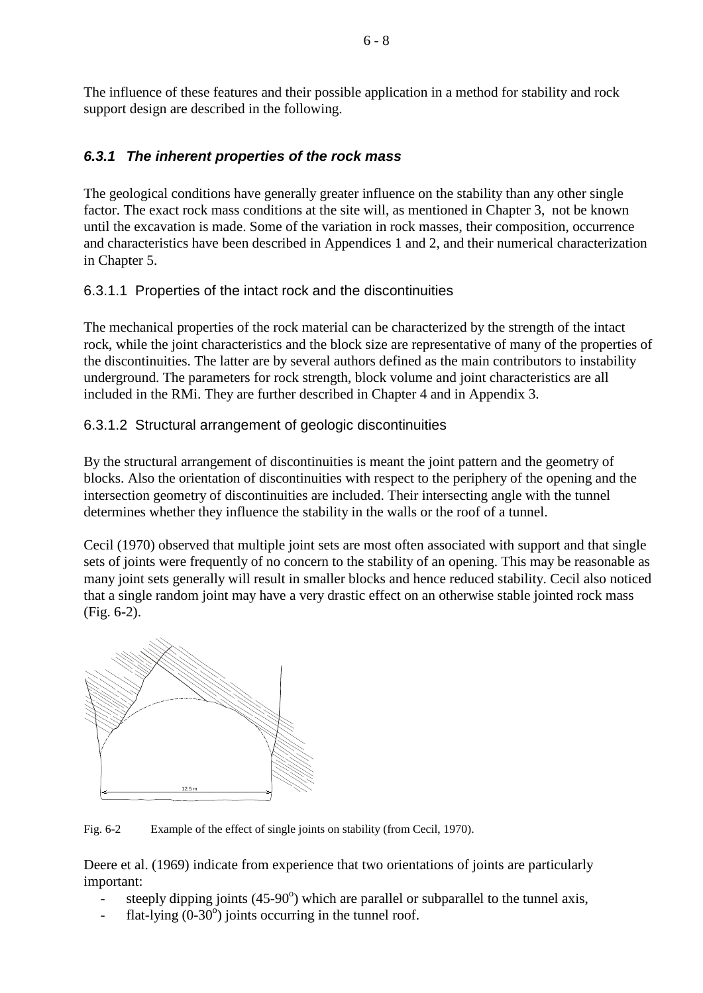The influence of these features and their possible application in a method for stability and rock support design are described in the following.

# *6.3.1 The inherent properties of the rock mass*

The geological conditions have generally greater influence on the stability than any other single factor. The exact rock mass conditions at the site will, as mentioned in Chapter 3, not be known until the excavation is made. Some of the variation in rock masses, their composition, occurrence and characteristics have been described in Appendices 1 and 2, and their numerical characterization in Chapter 5.

## 6.3.1.1 Properties of the intact rock and the discontinuities

The mechanical properties of the rock material can be characterized by the strength of the intact rock, while the joint characteristics and the block size are representative of many of the properties of the discontinuities. The latter are by several authors defined as the main contributors to instability underground. The parameters for rock strength, block volume and joint characteristics are all included in the RMi. They are further described in Chapter 4 and in Appendix 3.

# 6.3.1.2 Structural arrangement of geologic discontinuities

By the structural arrangement of discontinuities is meant the joint pattern and the geometry of blocks. Also the orientation of discontinuities with respect to the periphery of the opening and the intersection geometry of discontinuities are included. Their intersecting angle with the tunnel determines whether they influence the stability in the walls or the roof of a tunnel.

Cecil (1970) observed that multiple joint sets are most often associated with support and that single sets of joints were frequently of no concern to the stability of an opening. This may be reasonable as many joint sets generally will result in smaller blocks and hence reduced stability. Cecil also noticed that a single random joint may have a very drastic effect on an otherwise stable jointed rock mass (Fig. 6-2).



Fig. 6-2 Example of the effect of single joints on stability (from Cecil, 1970).

Deere et al. (1969) indicate from experience that two orientations of joints are particularly important:

- steeply dipping joints  $(45-90^{\circ})$  which are parallel or subparallel to the tunnel axis,
- $-$  flat-lying  $(0-30^{\circ})$  joints occurring in the tunnel roof.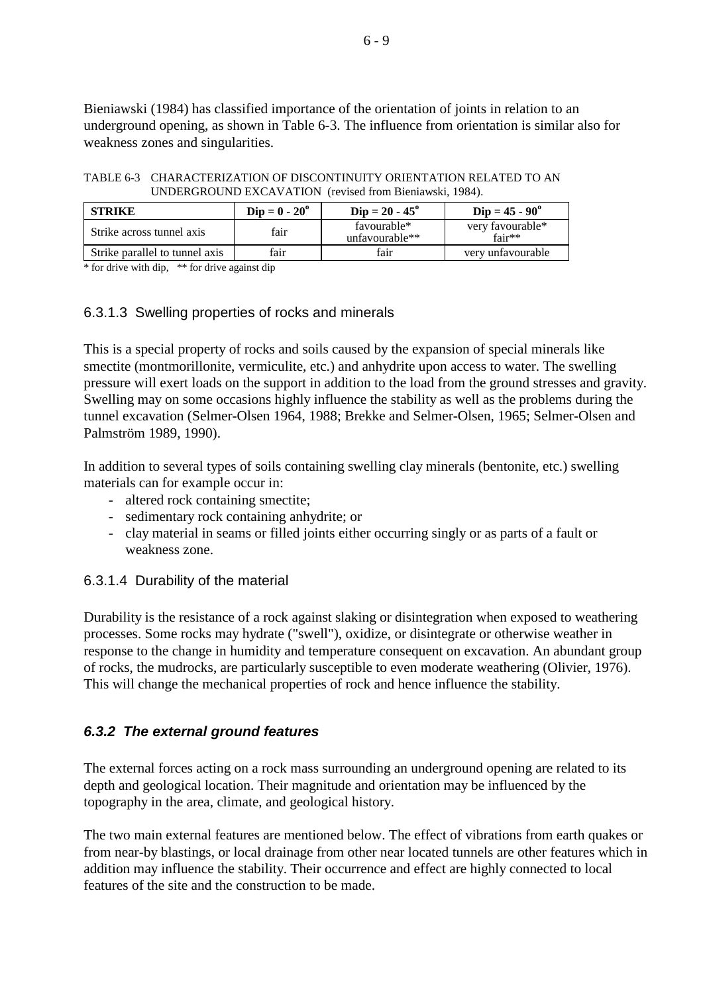Bieniawski (1984) has classified importance of the orientation of joints in relation to an underground opening, as shown in Table 6-3. The influence from orientation is similar also for weakness zones and singularities.

TABLE 6-3 CHARACTERIZATION OF DISCONTINUITY ORIENTATION RELATED TO AN UNDERGROUND EXCAVATION (revised from Bieniawski, 1984).

| <b>STRIKE</b>                  | $Dip = 0 - 20^{\circ}$ | $Dip = 20 - 45^{\circ}$       | $Dip = 45 - 90^{\circ}$      |
|--------------------------------|------------------------|-------------------------------|------------------------------|
| Strike across tunnel axis      | fair                   | favourable*<br>unfavourable** | very favourable*<br>$fair**$ |
| Strike parallel to tunnel axis | fair                   | fair                          | very unfavourable            |

 $*$  for drive with dip,  $**$  for drive against dip

## 6.3.1.3 Swelling properties of rocks and minerals

This is a special property of rocks and soils caused by the expansion of special minerals like smectite (montmorillonite, vermiculite, etc.) and anhydrite upon access to water. The swelling pressure will exert loads on the support in addition to the load from the ground stresses and gravity. Swelling may on some occasions highly influence the stability as well as the problems during the tunnel excavation (Selmer-Olsen 1964, 1988; Brekke and Selmer-Olsen, 1965; Selmer-Olsen and Palmström 1989, 1990).

In addition to several types of soils containing swelling clay minerals (bentonite, etc.) swelling materials can for example occur in:

- altered rock containing smectite;
- sedimentary rock containing anhydrite; or
- clay material in seams or filled joints either occurring singly or as parts of a fault or weakness zone.

## 6.3.1.4 Durability of the material

Durability is the resistance of a rock against slaking or disintegration when exposed to weathering processes. Some rocks may hydrate ("swell"), oxidize, or disintegrate or otherwise weather in response to the change in humidity and temperature consequent on excavation. An abundant group of rocks, the mudrocks, are particularly susceptible to even moderate weathering (Olivier, 1976). This will change the mechanical properties of rock and hence influence the stability.

# *6.3.2 The external ground features*

The external forces acting on a rock mass surrounding an underground opening are related to its depth and geological location. Their magnitude and orientation may be influenced by the topography in the area, climate, and geological history.

The two main external features are mentioned below. The effect of vibrations from earth quakes or from near-by blastings, or local drainage from other near located tunnels are other features which in addition may influence the stability. Their occurrence and effect are highly connected to local features of the site and the construction to be made.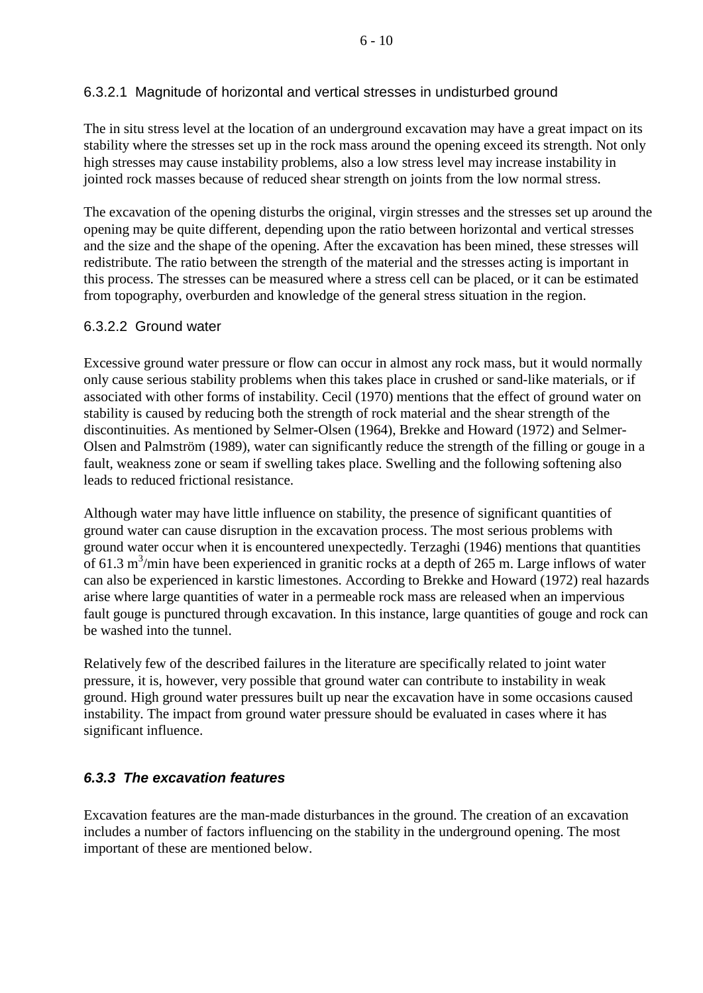# 6.3.2.1 Magnitude of horizontal and vertical stresses in undisturbed ground

The in situ stress level at the location of an underground excavation may have a great impact on its stability where the stresses set up in the rock mass around the opening exceed its strength. Not only high stresses may cause instability problems, also a low stress level may increase instability in jointed rock masses because of reduced shear strength on joints from the low normal stress.

The excavation of the opening disturbs the original, virgin stresses and the stresses set up around the opening may be quite different, depending upon the ratio between horizontal and vertical stresses and the size and the shape of the opening. After the excavation has been mined, these stresses will redistribute. The ratio between the strength of the material and the stresses acting is important in this process. The stresses can be measured where a stress cell can be placed, or it can be estimated from topography, overburden and knowledge of the general stress situation in the region.

## 6.3.2.2 Ground water

Excessive ground water pressure or flow can occur in almost any rock mass, but it would normally only cause serious stability problems when this takes place in crushed or sand-like materials, or if associated with other forms of instability. Cecil (1970) mentions that the effect of ground water on stability is caused by reducing both the strength of rock material and the shear strength of the discontinuities. As mentioned by Selmer-Olsen (1964), Brekke and Howard (1972) and Selmer-Olsen and Palmström (1989), water can significantly reduce the strength of the filling or gouge in a fault, weakness zone or seam if swelling takes place. Swelling and the following softening also leads to reduced frictional resistance.

Although water may have little influence on stability, the presence of significant quantities of ground water can cause disruption in the excavation process. The most serious problems with ground water occur when it is encountered unexpectedly. Terzaghi (1946) mentions that quantities of 61.3  $\text{m}^3/\text{min}$  have been experienced in granitic rocks at a depth of 265 m. Large inflows of water can also be experienced in karstic limestones. According to Brekke and Howard (1972) real hazards arise where large quantities of water in a permeable rock mass are released when an impervious fault gouge is punctured through excavation. In this instance, large quantities of gouge and rock can be washed into the tunnel.

Relatively few of the described failures in the literature are specifically related to joint water pressure, it is, however, very possible that ground water can contribute to instability in weak ground. High ground water pressures built up near the excavation have in some occasions caused instability. The impact from ground water pressure should be evaluated in cases where it has significant influence.

# *6.3.3 The excavation features*

Excavation features are the man-made disturbances in the ground. The creation of an excavation includes a number of factors influencing on the stability in the underground opening. The most important of these are mentioned below.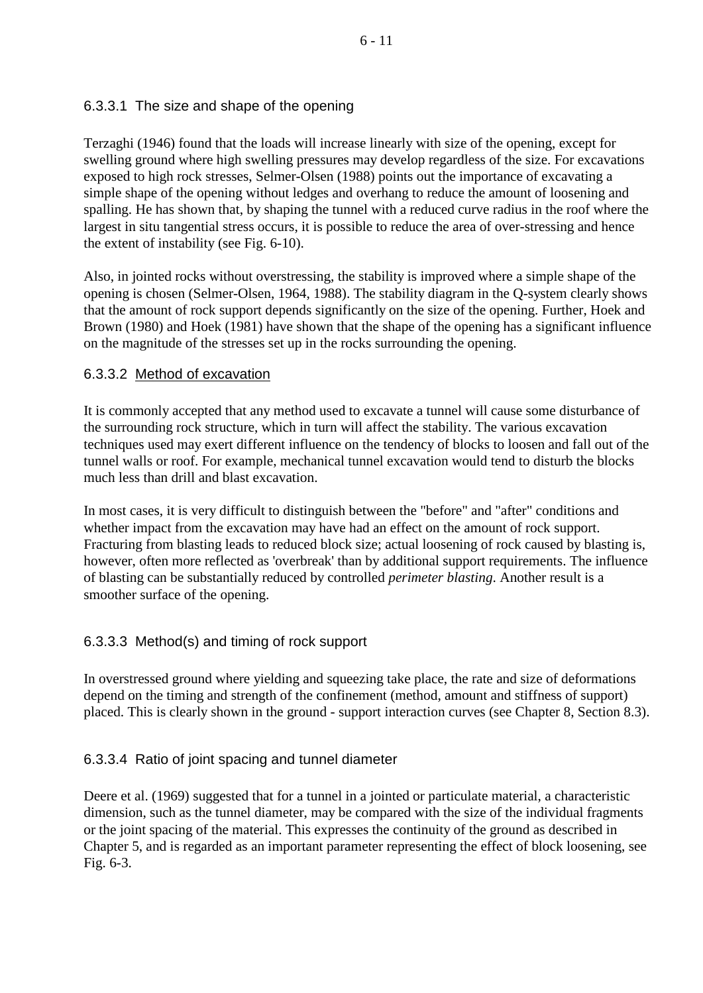# 6.3.3.1 The size and shape of the opening

Terzaghi (1946) found that the loads will increase linearly with size of the opening, except for swelling ground where high swelling pressures may develop regardless of the size. For excavations exposed to high rock stresses, Selmer-Olsen (1988) points out the importance of excavating a simple shape of the opening without ledges and overhang to reduce the amount of loosening and spalling. He has shown that, by shaping the tunnel with a reduced curve radius in the roof where the largest in situ tangential stress occurs, it is possible to reduce the area of over-stressing and hence the extent of instability (see Fig. 6-10).

Also, in jointed rocks without overstressing, the stability is improved where a simple shape of the opening is chosen (Selmer-Olsen, 1964, 1988). The stability diagram in the Q-system clearly shows that the amount of rock support depends significantly on the size of the opening. Further, Hoek and Brown (1980) and Hoek (1981) have shown that the shape of the opening has a significant influence on the magnitude of the stresses set up in the rocks surrounding the opening.

# 6.3.3.2 Method of excavation

It is commonly accepted that any method used to excavate a tunnel will cause some disturbance of the surrounding rock structure, which in turn will affect the stability. The various excavation techniques used may exert different influence on the tendency of blocks to loosen and fall out of the tunnel walls or roof. For example, mechanical tunnel excavation would tend to disturb the blocks much less than drill and blast excavation.

In most cases, it is very difficult to distinguish between the "before" and "after" conditions and whether impact from the excavation may have had an effect on the amount of rock support. Fracturing from blasting leads to reduced block size; actual loosening of rock caused by blasting is, however, often more reflected as 'overbreak' than by additional support requirements. The influence of blasting can be substantially reduced by controlled *perimeter blasting*. Another result is a smoother surface of the opening.

# 6.3.3.3 Method(s) and timing of rock support

In overstressed ground where yielding and squeezing take place, the rate and size of deformations depend on the timing and strength of the confinement (method, amount and stiffness of support) placed. This is clearly shown in the ground - support interaction curves (see Chapter 8, Section 8.3).

# 6.3.3.4 Ratio of joint spacing and tunnel diameter

Deere et al. (1969) suggested that for a tunnel in a jointed or particulate material, a characteristic dimension, such as the tunnel diameter, may be compared with the size of the individual fragments or the joint spacing of the material. This expresses the continuity of the ground as described in Chapter 5, and is regarded as an important parameter representing the effect of block loosening, see Fig. 6-3.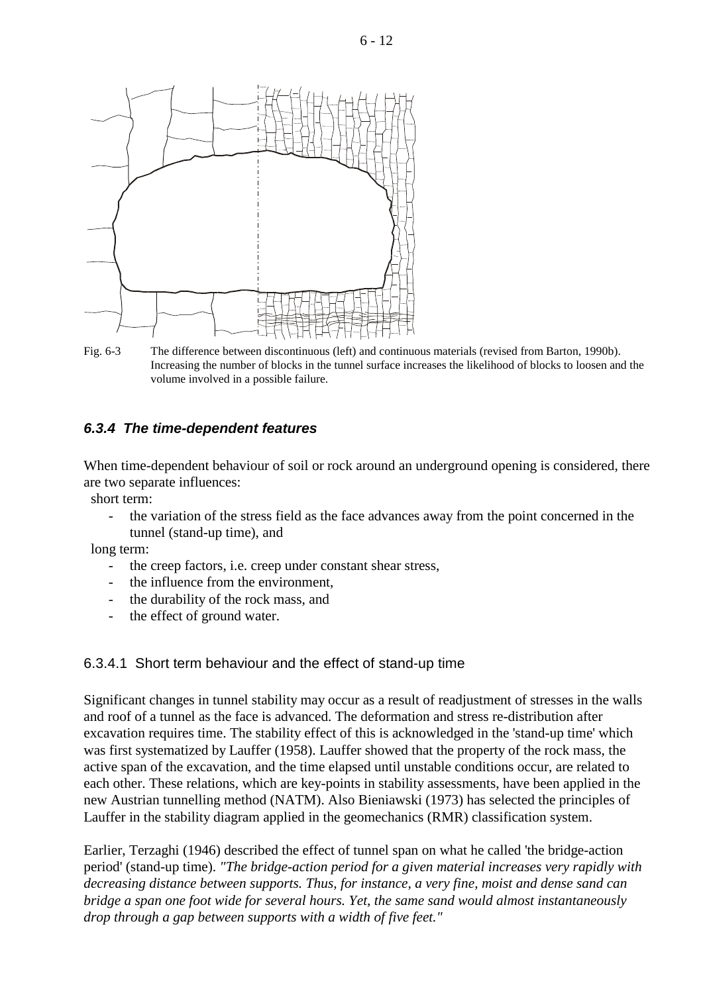

Fig. 6-3 The difference between discontinuous (left) and continuous materials (revised from Barton, 1990b). Increasing the number of blocks in the tunnel surface increases the likelihood of blocks to loosen and the volume involved in a possible failure.

## *6.3.4 The time-dependent features*

When time-dependent behaviour of soil or rock around an underground opening is considered, there are two separate influences:

short term:

the variation of the stress field as the face advances away from the point concerned in the tunnel (stand-up time), and

long term:

- the creep factors, i.e. creep under constant shear stress,
- the influence from the environment.
- the durability of the rock mass, and
- the effect of ground water.

### 6.3.4.1 Short term behaviour and the effect of stand-up time

Significant changes in tunnel stability may occur as a result of readjustment of stresses in the walls and roof of a tunnel as the face is advanced. The deformation and stress re-distribution after excavation requires time. The stability effect of this is acknowledged in the 'stand-up time' which was first systematized by Lauffer (1958). Lauffer showed that the property of the rock mass, the active span of the excavation, and the time elapsed until unstable conditions occur, are related to each other. These relations, which are key-points in stability assessments, have been applied in the new Austrian tunnelling method (NATM). Also Bieniawski (1973) has selected the principles of Lauffer in the stability diagram applied in the geomechanics (RMR) classification system.

Earlier, Terzaghi (1946) described the effect of tunnel span on what he called 'the bridge-action period' (stand-up time). *"The bridge-action period for a given material increases very rapidly with decreasing distance between supports. Thus, for instance, a very fine, moist and dense sand can bridge a span one foot wide for several hours. Yet, the same sand would almost instantaneously drop through a gap between supports with a width of five feet."*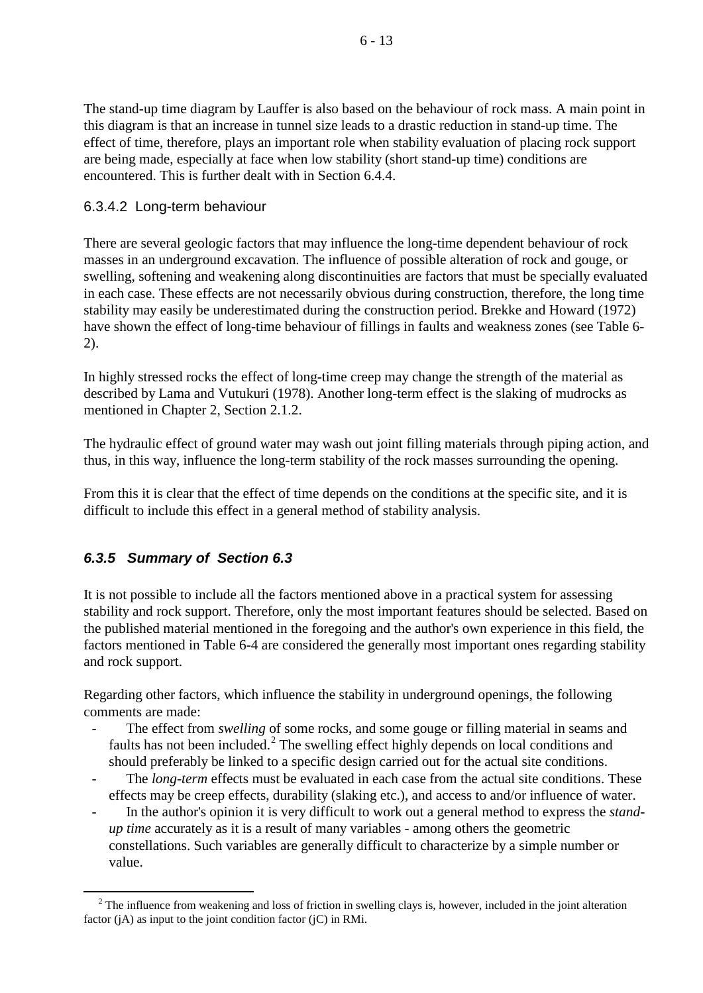The stand-up time diagram by Lauffer is also based on the behaviour of rock mass. A main point in this diagram is that an increase in tunnel size leads to a drastic reduction in stand-up time. The effect of time, therefore, plays an important role when stability evaluation of placing rock support are being made, especially at face when low stability (short stand-up time) conditions are encountered. This is further dealt with in Section 6.4.4.

## 6.3.4.2 Long-term behaviour

There are several geologic factors that may influence the long-time dependent behaviour of rock masses in an underground excavation. The influence of possible alteration of rock and gouge, or swelling, softening and weakening along discontinuities are factors that must be specially evaluated in each case. These effects are not necessarily obvious during construction, therefore, the long time stability may easily be underestimated during the construction period. Brekke and Howard (1972) have shown the effect of long-time behaviour of fillings in faults and weakness zones (see Table 6- 2).

In highly stressed rocks the effect of long-time creep may change the strength of the material as described by Lama and Vutukuri (1978). Another long-term effect is the slaking of mudrocks as mentioned in Chapter 2, Section 2.1.2.

The hydraulic effect of ground water may wash out joint filling materials through piping action, and thus, in this way, influence the long-term stability of the rock masses surrounding the opening.

From this it is clear that the effect of time depends on the conditions at the specific site, and it is difficult to include this effect in a general method of stability analysis.

# *6.3.5 Summary of Section 6.3*

-

It is not possible to include all the factors mentioned above in a practical system for assessing stability and rock support. Therefore, only the most important features should be selected. Based on the published material mentioned in the foregoing and the author's own experience in this field, the factors mentioned in Table 6-4 are considered the generally most important ones regarding stability and rock support.

Regarding other factors, which influence the stability in underground openings, the following comments are made:

- The effect from *swelling* of some rocks, and some gouge or filling material in seams and faults has not been included. $2$  The swelling effect highly depends on local conditions and should preferably be linked to a specific design carried out for the actual site conditions.
- The *long-term* effects must be evaluated in each case from the actual site conditions. These effects may be creep effects, durability (slaking etc.), and access to and/or influence of water.
- In the author's opinion it is very difficult to work out a general method to express the *standup time* accurately as it is a result of many variables - among others the geometric constellations. Such variables are generally difficult to characterize by a simple number or value.

<span id="page-12-0"></span> $2$  The influence from weakening and loss of friction in swelling clays is, however, included in the joint alteration factor  $(i)$  as input to the joint condition factor  $(i)$  in RMi.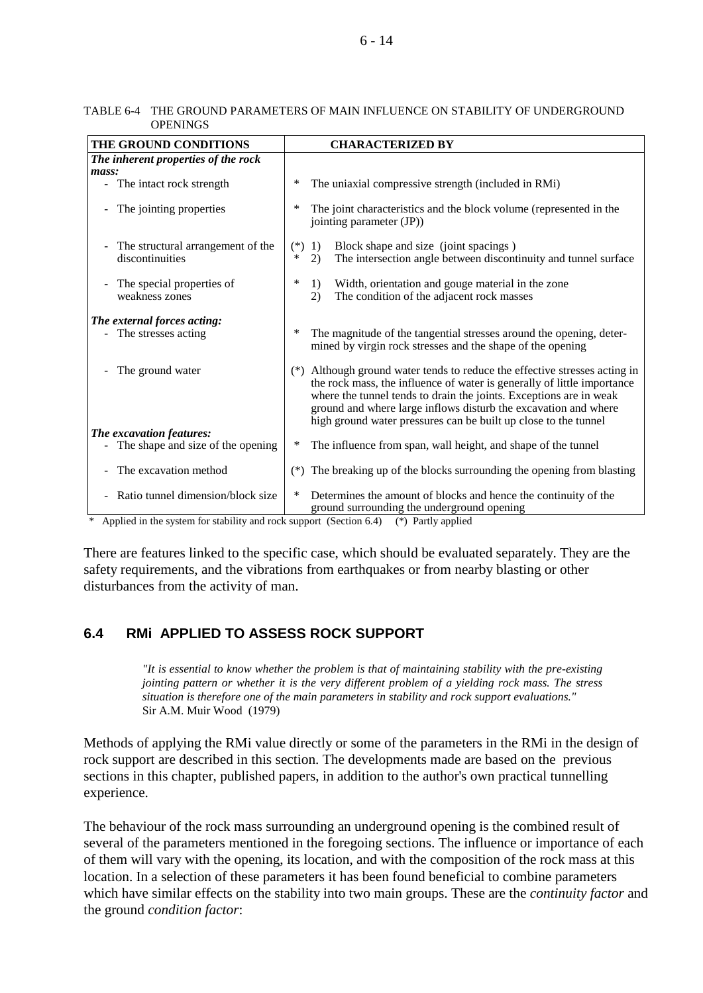#### 6 - 14

#### TABLE 6-4 THE GROUND PARAMETERS OF MAIN INFLUENCE ON STABILITY OF UNDERGROUND **OPENINGS**

| THE GROUND CONDITIONS                                                                                                                                | <b>CHARACTERIZED BY</b>                                                                                                                                                                                                                                                                                                                                                |
|------------------------------------------------------------------------------------------------------------------------------------------------------|------------------------------------------------------------------------------------------------------------------------------------------------------------------------------------------------------------------------------------------------------------------------------------------------------------------------------------------------------------------------|
| The inherent properties of the rock                                                                                                                  |                                                                                                                                                                                                                                                                                                                                                                        |
| mass:                                                                                                                                                |                                                                                                                                                                                                                                                                                                                                                                        |
| - The intact rock strength                                                                                                                           | The uniaxial compressive strength (included in RMi)<br>∗                                                                                                                                                                                                                                                                                                               |
| The jointing properties                                                                                                                              | ∗<br>The joint characteristics and the block volume (represented in the<br>jointing parameter (JP))                                                                                                                                                                                                                                                                    |
| The structural arrangement of the<br>discontinuities                                                                                                 | Block shape and size (joint spacings)<br>$(*)$<br>1)<br>∗<br>2)<br>The intersection angle between discontinuity and tunnel surface                                                                                                                                                                                                                                     |
| The special properties of<br>weakness zones                                                                                                          | ∗<br>Width, orientation and gouge material in the zone<br>1)<br>The condition of the adjacent rock masses<br>2)                                                                                                                                                                                                                                                        |
| The external forces acting:                                                                                                                          |                                                                                                                                                                                                                                                                                                                                                                        |
| - The stresses acting                                                                                                                                | The magnitude of the tangential stresses around the opening, deter-<br>∗<br>mined by virgin rock stresses and the shape of the opening                                                                                                                                                                                                                                 |
| The ground water                                                                                                                                     | Although ground water tends to reduce the effective stresses acting in<br>$(*)$<br>the rock mass, the influence of water is generally of little importance<br>where the tunnel tends to drain the joints. Exceptions are in weak<br>ground and where large inflows disturb the excavation and where<br>high ground water pressures can be built up close to the tunnel |
| The excavation features:                                                                                                                             |                                                                                                                                                                                                                                                                                                                                                                        |
| - The shape and size of the opening                                                                                                                  | ∗<br>The influence from span, wall height, and shape of the tunnel                                                                                                                                                                                                                                                                                                     |
| The excavation method                                                                                                                                | The breaking up of the blocks surrounding the opening from blasting<br>$(*)$                                                                                                                                                                                                                                                                                           |
| Ratio tunnel dimension/block size<br>$\mathbf{A}$ and $\mathbf{A}$ and $\mathbf{A}$ and $\mathbf{A}$ and $\mathbf{A}$<br>$\sim$ $\sim$ $\sim$ $\sim$ | ∗<br>Determines the amount of blocks and hence the continuity of the<br>ground surrounding the underground opening                                                                                                                                                                                                                                                     |

\* Applied in the system for stability and rock support (Section 6.4) (\*) Partly applied

There are features linked to the specific case, which should be evaluated separately. They are the safety requirements, and the vibrations from earthquakes or from nearby blasting or other disturbances from the activity of man.

# **6.4 RMi APPLIED TO ASSESS ROCK SUPPORT**

*"It is essential to know whether the problem is that of maintaining stability with the pre-existing jointing pattern or whether it is the very different problem of a yielding rock mass. The stress situation is therefore one of the main parameters in stability and rock support evaluations."* Sir A.M. Muir Wood (1979)

Methods of applying the RMi value directly or some of the parameters in the RMi in the design of rock support are described in this section. The developments made are based on the previous sections in this chapter, published papers, in addition to the author's own practical tunnelling experience.

The behaviour of the rock mass surrounding an underground opening is the combined result of several of the parameters mentioned in the foregoing sections. The influence or importance of each of them will vary with the opening, its location, and with the composition of the rock mass at this location. In a selection of these parameters it has been found beneficial to combine parameters which have similar effects on the stability into two main groups. These are the *continuity factor* and the ground *condition factor*: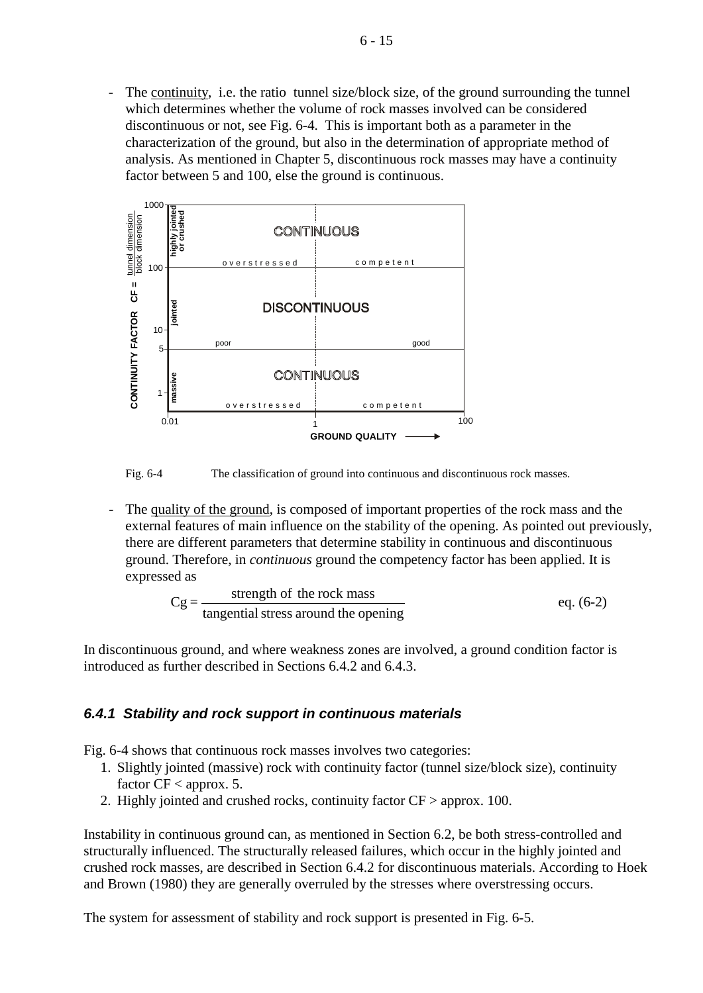- The continuity, i.e. the ratio tunnel size/block size, of the ground surrounding the tunnel which determines whether the volume of rock masses involved can be considered discontinuous or not, see Fig. 6-4. This is important both as a parameter in the characterization of the ground, but also in the determination of appropriate method of analysis. As mentioned in Chapter 5, discontinuous rock masses may have a continuity factor between 5 and 100, else the ground is continuous.



Fig. 6-4 The classification of ground into continuous and discontinuous rock masses.

- The quality of the ground, is composed of important properties of the rock mass and the external features of main influence on the stability of the opening. As pointed out previously, there are different parameters that determine stability in continuous and discontinuous ground. Therefore, in *continuous* ground the competency factor has been applied. It is expressed as

$$
Cg = \frac{\text{strength of the rock mass}}{\text{tangential stress around the opening}} \qquad \text{eq. (6-2)}
$$

In discontinuous ground, and where weakness zones are involved, a ground condition factor is introduced as further described in Sections 6.4.2 and 6.4.3.

## *6.4.1 Stability and rock support in continuous materials*

Fig. 6-4 shows that continuous rock masses involves two categories:

- 1. Slightly jointed (massive) rock with continuity factor (tunnel size/block size), continuity factor  $CF <$  approx. 5.
- 2. Highly jointed and crushed rocks, continuity factor CF > approx. 100.

Instability in continuous ground can, as mentioned in Section 6.2, be both stress-controlled and structurally influenced. The structurally released failures, which occur in the highly jointed and crushed rock masses, are described in Section 6.4.2 for discontinuous materials. According to Hoek and Brown (1980) they are generally overruled by the stresses where overstressing occurs.

The system for assessment of stability and rock support is presented in Fig. 6-5.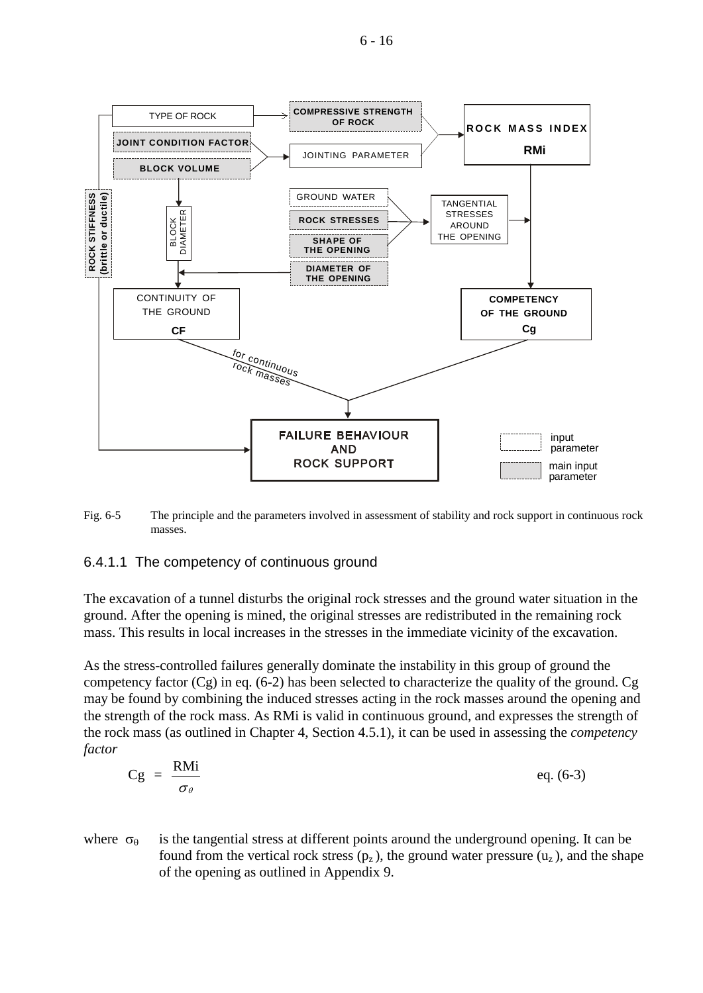6 - 16



Fig. 6-5 The principle and the parameters involved in assessment of stability and rock support in continuous rock masses.

### 6.4.1.1 The competency of continuous ground

The excavation of a tunnel disturbs the original rock stresses and the ground water situation in the ground. After the opening is mined, the original stresses are redistributed in the remaining rock mass. This results in local increases in the stresses in the immediate vicinity of the excavation.

As the stress-controlled failures generally dominate the instability in this group of ground the competency factor  $(Cg)$  in eq. (6-2) has been selected to characterize the quality of the ground.  $Cg$ may be found by combining the induced stresses acting in the rock masses around the opening and the strength of the rock mass. As RMi is valid in continuous ground, and expresses the strength of the rock mass (as outlined in Chapter 4, Section 4.5.1), it can be used in assessing the *competency factor*

$$
Cg = \frac{RMi}{\sigma_{\theta}} \qquad \qquad eq. (6-3)
$$

where  $\sigma_{\theta}$  is the tangential stress at different points around the underground opening. It can be found from the vertical rock stress  $(p_z)$ , the ground water pressure  $(u_z)$ , and the shape of the opening as outlined in Appendix 9.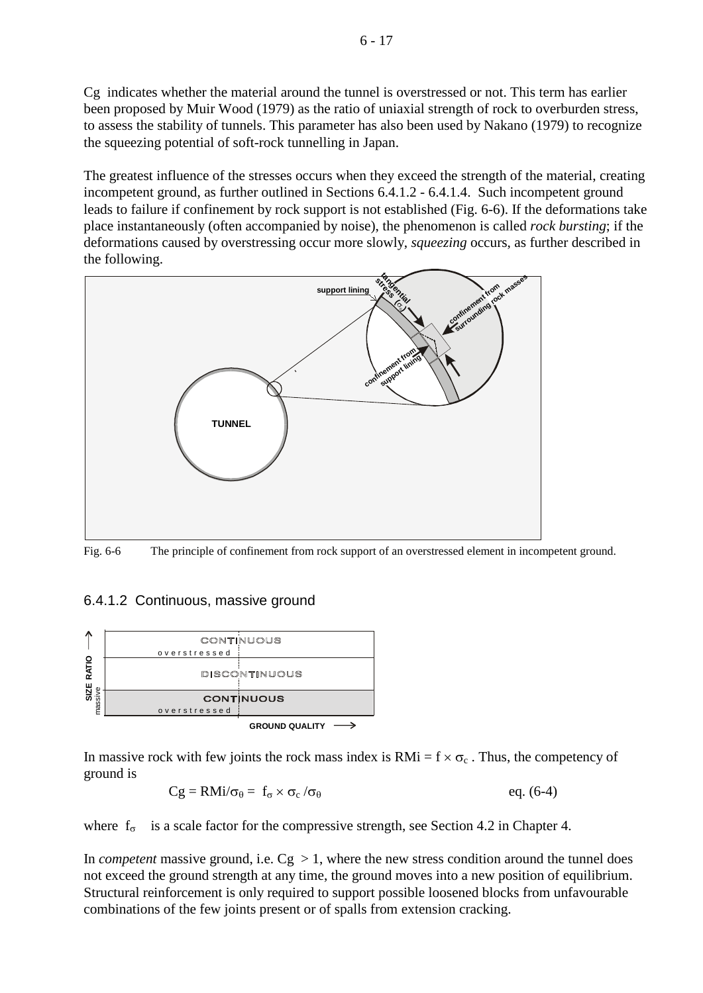Cg indicates whether the material around the tunnel is overstressed or not. This term has earlier been proposed by Muir Wood (1979) as the ratio of uniaxial strength of rock to overburden stress, to assess the stability of tunnels. This parameter has also been used by Nakano (1979) to recognize the squeezing potential of soft-rock tunnelling in Japan.

The greatest influence of the stresses occurs when they exceed the strength of the material, creating incompetent ground, as further outlined in Sections 6.4.1.2 - 6.4.1.4. Such incompetent ground leads to failure if confinement by rock support is not established (Fig. 6-6). If the deformations take place instantaneously (often accompanied by noise), the phenomenon is called *rock bursting*; if the deformations caused by overstressing occur more slowly, *squeezing* occurs, as further described in the following.



Fig. 6-6 The principle of confinement from rock support of an overstressed element in incompetent ground.

## 6.4.1.2 Continuous, massive ground



In massive rock with few joints the rock mass index is  $RMi = f \times \sigma_c$ . Thus, the competency of ground is

$$
Cg = RMi/\sigma_{\theta} = f_{\sigma} \times \sigma_{c}/\sigma_{\theta} \qquad \qquad eq. (6-4)
$$

where  $f_{\sigma}$  is a scale factor for the compressive strength, see Section 4.2 in Chapter 4.

In *competent* massive ground, i.e.  $Cg > 1$ , where the new stress condition around the tunnel does not exceed the ground strength at any time, the ground moves into a new position of equilibrium. Structural reinforcement is only required to support possible loosened blocks from unfavourable combinations of the few joints present or of spalls from extension cracking.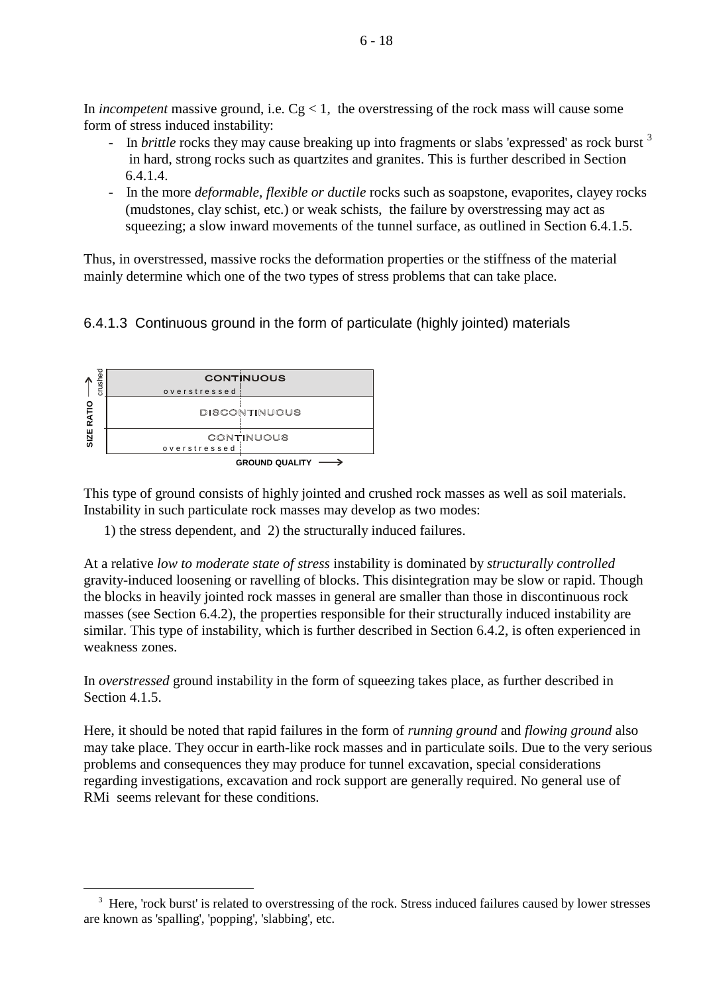In *incompetent* massive ground, i.e.  $Cg < 1$ , the overstressing of the rock mass will cause some form of stress induced instability:

- In *brittle* rocks they may cause breaking up into fragments or slabs 'expressed' as rock burst <sup>[3](#page-17-0)</sup> in hard, strong rocks such as quartzites and granites. This is further described in Section 6.4.1.4.
- In the more *deformable, flexible or ductile* rocks such as soapstone, evaporites, clayey rocks (mudstones, clay schist, etc.) or weak schists, the failure by overstressing may act as squeezing; a slow inward movements of the tunnel surface, as outlined in Section 6.4.1.5.

Thus, in overstressed, massive rocks the deformation properties or the stiffness of the material mainly determine which one of the two types of stress problems that can take place.

# 6.4.1.3 Continuous ground in the form of particulate (highly jointed) materials



<u>.</u>

This type of ground consists of highly jointed and crushed rock masses as well as soil materials. Instability in such particulate rock masses may develop as two modes:

1) the stress dependent, and 2) the structurally induced failures.

At a relative *low to moderate state of stress* instability is dominated by *structurally controlled*  gravity-induced loosening or ravelling of blocks. This disintegration may be slow or rapid. Though the blocks in heavily jointed rock masses in general are smaller than those in discontinuous rock masses (see Section 6.4.2), the properties responsible for their structurally induced instability are similar. This type of instability, which is further described in Section 6.4.2, is often experienced in weakness zones.

In *overstressed* ground instability in the form of squeezing takes place, as further described in Section 4.1.5.

Here, it should be noted that rapid failures in the form of *running ground* and *flowing ground* also may take place. They occur in earth-like rock masses and in particulate soils. Due to the very serious problems and consequences they may produce for tunnel excavation, special considerations regarding investigations, excavation and rock support are generally required. No general use of RMi seems relevant for these conditions.

<span id="page-17-0"></span><sup>&</sup>lt;sup>3</sup> Here, 'rock burst' is related to overstressing of the rock. Stress induced failures caused by lower stresses are known as 'spalling', 'popping', 'slabbing', etc.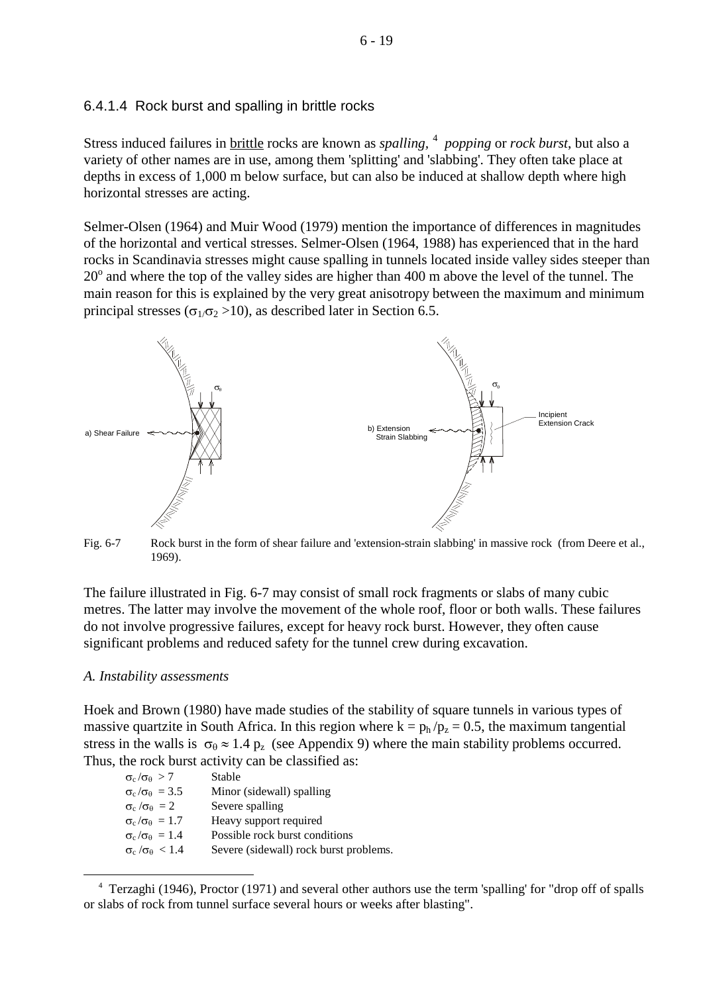### 6.4.1.4 Rock burst and spalling in brittle rocks

Stress induced failures in **brittle** rocks are known as *spalling*, <sup>[4](#page-18-0)</sup> *popping* or *rock burst*, but also a variety of other names are in use, among them 'splitting' and 'slabbing'. They often take place at depths in excess of 1,000 m below surface, but can also be induced at shallow depth where high horizontal stresses are acting.

Selmer-Olsen (1964) and Muir Wood (1979) mention the importance of differences in magnitudes of the horizontal and vertical stresses. Selmer-Olsen (1964, 1988) has experienced that in the hard rocks in Scandinavia stresses might cause spalling in tunnels located inside valley sides steeper than  $20^{\circ}$  and where the top of the valley sides are higher than 400 m above the level of the tunnel. The main reason for this is explained by the very great anisotropy between the maximum and minimum principal stresses ( $\sigma_1/\sigma_2 > 10$ ), as described later in Section 6.5.



Fig. 6-7 Rock burst in the form of shear failure and 'extension-strain slabbing' in massive rock (from Deere et al., 1969).

The failure illustrated in Fig. 6-7 may consist of small rock fragments or slabs of many cubic metres. The latter may involve the movement of the whole roof, floor or both walls. These failures do not involve progressive failures, except for heavy rock burst. However, they often cause significant problems and reduced safety for the tunnel crew during excavation.

### *A. Instability assessments*

<u>.</u>

Hoek and Brown (1980) have made studies of the stability of square tunnels in various types of massive quartzite in South Africa. In this region where  $k = p_h / p_z = 0.5$ , the maximum tangential stress in the walls is  $\sigma_{\theta} \approx 1.4$  p<sub>z</sub> (see Appendix 9) where the main stability problems occurred. Thus, the rock burst activity can be classified as:

| $\sigma_{\rm c}/\sigma_{\rm \theta} > 7$   | Stable                                 |
|--------------------------------------------|----------------------------------------|
| $\sigma_{\rm c}/\sigma_{\rm \theta} = 3.5$ | Minor (sidewall) spalling              |
| $\sigma_c/\sigma_{\theta} = 2$             | Severe spalling                        |
| $\sigma_{\rm c}/\sigma_{\rm \theta} = 1.7$ | Heavy support required                 |
| $\sigma_{\rm c}/\sigma_{\rm \theta} = 1.4$ | Possible rock burst conditions         |
| $\sigma_{\rm c}/\sigma_{\rm \theta} < 1.4$ | Severe (sidewall) rock burst problems. |
|                                            |                                        |

<span id="page-18-0"></span><sup>&</sup>lt;sup>4</sup> Terzaghi (1946), Proctor (1971) and several other authors use the term 'spalling' for "drop off of spalls or slabs of rock from tunnel surface several hours or weeks after blasting".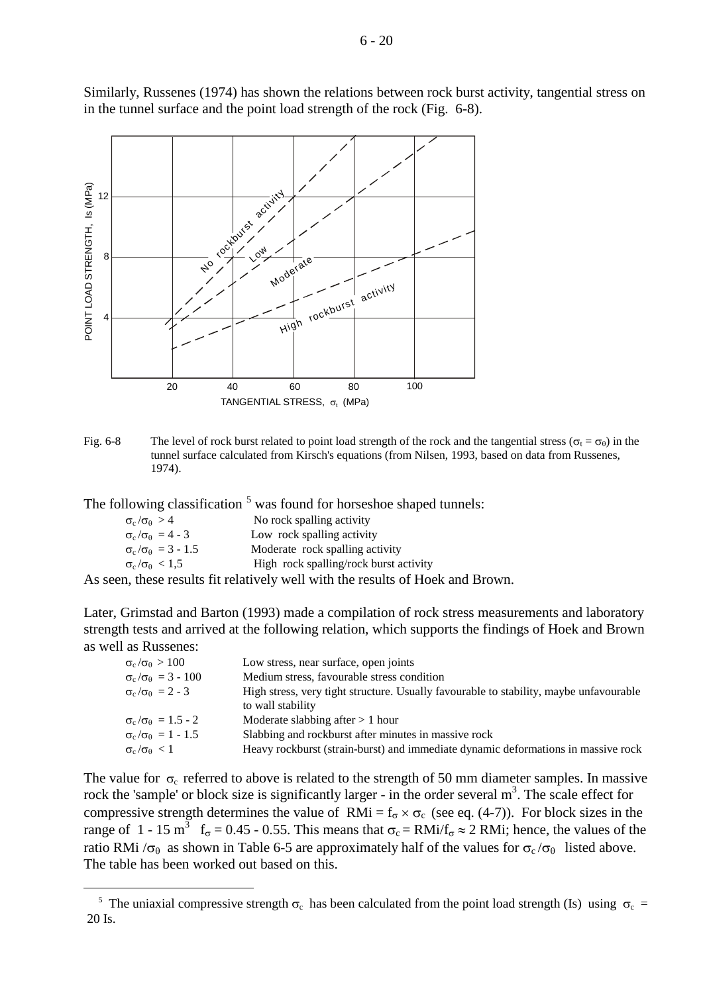

Similarly, Russenes (1974) has shown the relations between rock burst activity, tangential stress on in the tunnel surface and the point load strength of the rock (Fig. 6-8).

Fig. 6-8 The level of rock burst related to point load strength of the rock and the tangential stress ( $\sigma_t = \sigma_\theta$ ) in the tunnel surface calculated from Kirsch's equations (from Nilsen, 1993, based on data from Russenes, 1974).

The following classification <sup>[5](#page-19-0)</sup> was found for horseshoe shaped tunnels:

| $\sigma_c/\sigma_{\theta} > 4$       | No rock spalling activity                                       |
|--------------------------------------|-----------------------------------------------------------------|
| $\sigma_c/\sigma_{\theta} = 4 - 3$   | Low rock spalling activity                                      |
| $\sigma_c/\sigma_{\theta} = 3 - 1.5$ | Moderate rock spalling activity                                 |
| $\sigma_c/\sigma_{\theta} < 1.5$     | High rock spalling/rock burst activity                          |
|                                      | a thease gearlie Cityaleireale roall roith the gearlie of Healy |

<u>.</u>

As seen, these results fit relatively well with the results of Hoek and Brown.

Later, Grimstad and Barton (1993) made a compilation of rock stress measurements and laboratory strength tests and arrived at the following relation, which supports the findings of Hoek and Brown as well as Russenes:

| $\sigma_{\rm c}/\sigma_{\rm \theta} > 100$     | Low stress, near surface, open joints                                                                       |
|------------------------------------------------|-------------------------------------------------------------------------------------------------------------|
| $\sigma_{\rm c}/\sigma_{\rm \theta} = 3 - 100$ | Medium stress, favourable stress condition                                                                  |
| $\sigma_c/\sigma_{\theta} = 2 - 3$             | High stress, very tight structure. Usually favourable to stability, maybe unfavourable<br>to wall stability |
| $\sigma_{\rm c}/\sigma_{\rm \theta} = 1.5 - 2$ | Moderate slabbing after $> 1$ hour                                                                          |
| $\sigma_{\rm c}/\sigma_{\rm \theta} = 1 - 1.5$ | Slabbing and rockburst after minutes in massive rock                                                        |
| $\sigma_{\rm c}/\sigma_{\rm \theta} < 1$       | Heavy rockburst (strain-burst) and immediate dynamic deformations in massive rock                           |

The value for  $\sigma_c$  referred to above is related to the strength of 50 mm diameter samples. In massive rock the 'sample' or block size is significantly larger - in the order several  $m<sup>3</sup>$ . The scale effect for compressive strength determines the value of RMi =  $f_{\sigma} \times \sigma_c$  (see eq. (4-7)). For block sizes in the range of 1 - 15 m<sup>3</sup>  $f_{\sigma} = 0.45$  - 0.55. This means that  $\sigma_c = RMi/f_{\sigma} \approx 2 RMi$ ; hence, the values of the ratio RMi / $\sigma_{\theta}$  as shown in Table 6-5 are approximately half of the values for  $\sigma_c/\sigma_{\theta}$  listed above. The table has been worked out based on this.

<span id="page-19-0"></span><sup>&</sup>lt;sup>5</sup> The uniaxial compressive strength  $\sigma_c$  has been calculated from the point load strength (Is) using  $\sigma_c$  = 20 Is.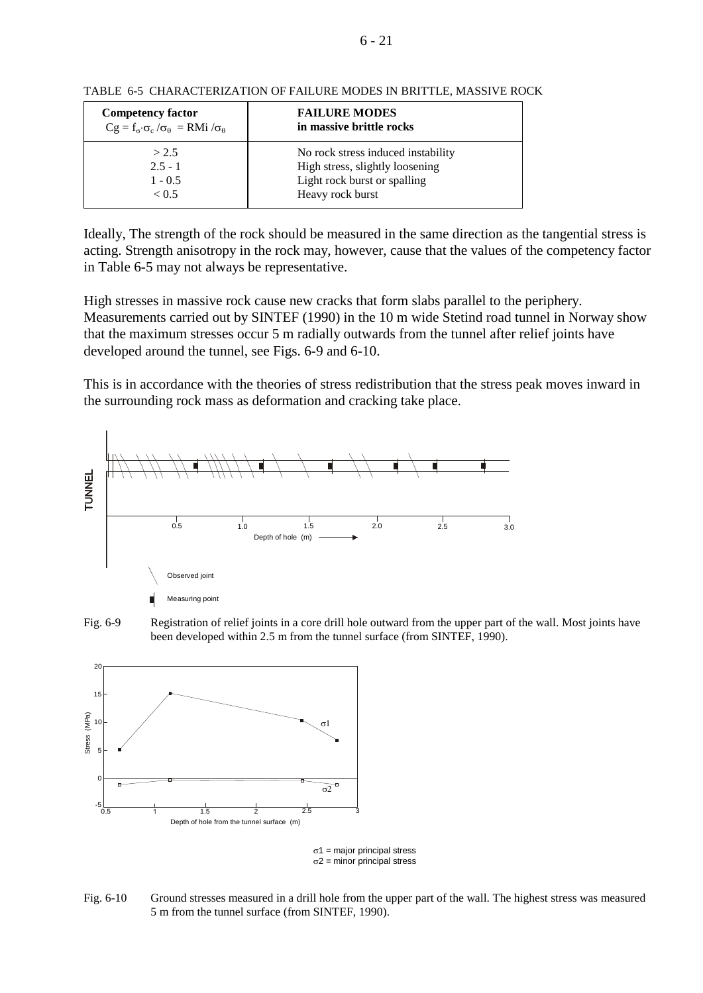| <b>Competency factor</b>                                                   | <b>FAILURE MODES</b>               |
|----------------------------------------------------------------------------|------------------------------------|
| $Cg = f_{\sigma} \cdot \sigma_c / \sigma_{\theta} = RMi / \sigma_{\theta}$ | in massive brittle rocks           |
| > 2.5                                                                      | No rock stress induced instability |
| $2.5 - 1$                                                                  | High stress, slightly loosening    |
| $1 - 0.5$                                                                  | Light rock burst or spalling       |
| < 0.5                                                                      | Heavy rock burst                   |

TABLE 6-5 CHARACTERIZATION OF FAILURE MODES IN BRITTLE, MASSIVE ROCK

Ideally, The strength of the rock should be measured in the same direction as the tangential stress is acting. Strength anisotropy in the rock may, however, cause that the values of the competency factor in Table 6-5 may not always be representative.

High stresses in massive rock cause new cracks that form slabs parallel to the periphery. Measurements carried out by SINTEF (1990) in the 10 m wide Stetind road tunnel in Norway show that the maximum stresses occur 5 m radially outwards from the tunnel after relief joints have developed around the tunnel, see Figs. 6-9 and 6-10.

This is in accordance with the theories of stress redistribution that the stress peak moves inward in the surrounding rock mass as deformation and cracking take place.







σ 1 = major principal stress  $\sigma$ 2 = minor principal stress

Fig. 6-10 Ground stresses measured in a drill hole from the upper part of the wall. The highest stress was measured 5 m from the tunnel surface (from SINTEF, 1990).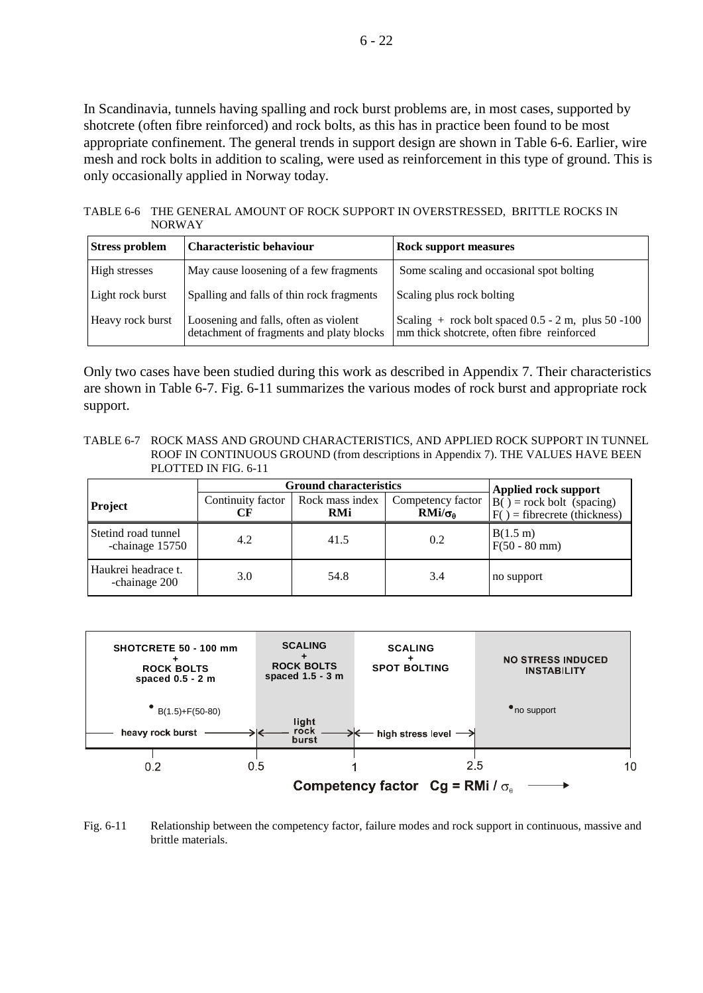In Scandinavia, tunnels having spalling and rock burst problems are, in most cases, supported by shotcrete (often fibre reinforced) and rock bolts, as this has in practice been found to be most appropriate confinement. The general trends in support design are shown in Table 6-6. Earlier, wire mesh and rock bolts in addition to scaling, were used as reinforcement in this type of ground. This is only occasionally applied in Norway today.

TABLE 6-6 THE GENERAL AMOUNT OF ROCK SUPPORT IN OVERSTRESSED, BRITTLE ROCKS IN NORWAY

| <b>Stress problem</b> | <b>Characteristic behaviour</b>                                                   | <b>Rock support measures</b>                                                                       |
|-----------------------|-----------------------------------------------------------------------------------|----------------------------------------------------------------------------------------------------|
| High stresses         | May cause loosening of a few fragments                                            | Some scaling and occasional spot bolting                                                           |
| Light rock burst      | Spalling and falls of thin rock fragments                                         | Scaling plus rock bolting                                                                          |
| Heavy rock burst      | Loosening and falls, often as violent<br>detachment of fragments and platy blocks | Scaling $+$ rock bolt spaced 0.5 - 2 m, plus 50 -100<br>mm thick shotcrete, often fibre reinforced |

Only two cases have been studied during this work as described in Appendix 7. Their characteristics are shown in Table 6-7. Fig. 6-11 summarizes the various modes of rock burst and appropriate rock support.

TABLE 6-7 ROCK MASS AND GROUND CHARACTERISTICS, AND APPLIED ROCK SUPPORT IN TUNNEL ROOF IN CONTINUOUS GROUND (from descriptions in Appendix 7). THE VALUES HAVE BEEN PLOTTED IN FIG. 6-11

|                                        | <b>Ground characteristics</b> |                               | <b>Applied rock support</b>                |                                                                          |
|----------------------------------------|-------------------------------|-------------------------------|--------------------------------------------|--------------------------------------------------------------------------|
| <b>Project</b>                         | Continuity factor             | Rock mass index<br><b>RMi</b> | Competency factor<br>$RMi/\sigma_{\theta}$ | $\overline{B()}$ = rock bolt (spacing)<br>$F()$ = fibrecrete (thickness) |
| Stetind road tunnel<br>-chainage 15750 | 4.2                           | 41.5                          | 0.2                                        | B(1.5 m)<br>$F(50 - 80$ mm)                                              |
| Haukrei headrace t.<br>-chainage 200   | 3.0                           | 54.8                          | 3.4                                        | no support                                                               |



Fig. 6-11 Relationship between the competency factor, failure modes and rock support in continuous, massive and brittle materials.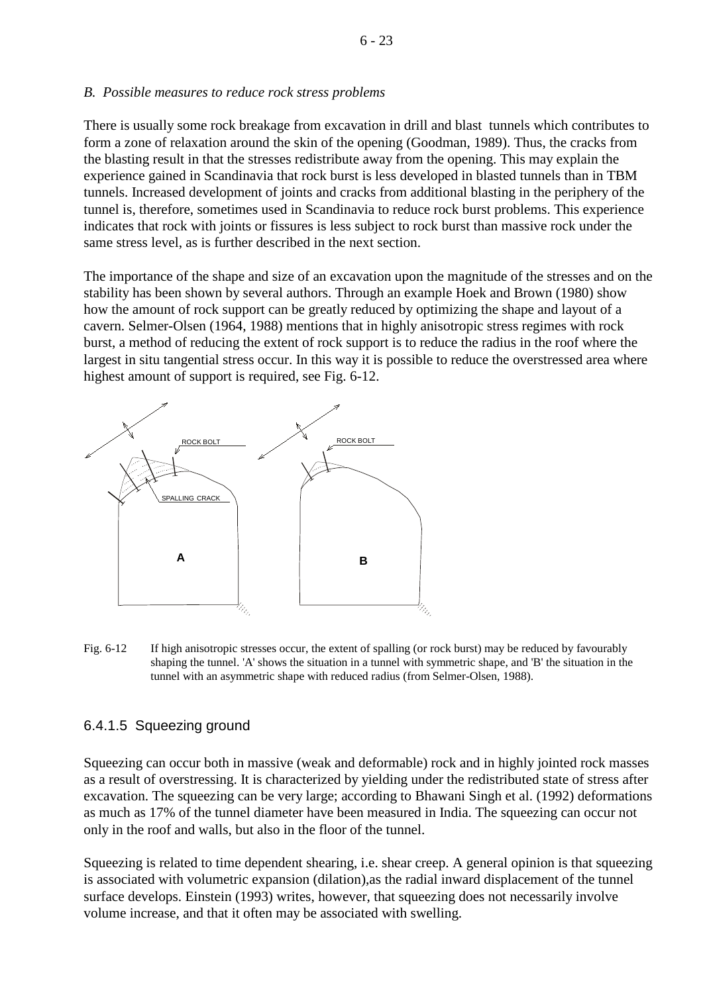#### *B. Possible measures to reduce rock stress problems*

There is usually some rock breakage from excavation in drill and blast tunnels which contributes to form a zone of relaxation around the skin of the opening (Goodman, 1989). Thus, the cracks from the blasting result in that the stresses redistribute away from the opening. This may explain the experience gained in Scandinavia that rock burst is less developed in blasted tunnels than in TBM tunnels. Increased development of joints and cracks from additional blasting in the periphery of the tunnel is, therefore, sometimes used in Scandinavia to reduce rock burst problems. This experience indicates that rock with joints or fissures is less subject to rock burst than massive rock under the same stress level, as is further described in the next section.

The importance of the shape and size of an excavation upon the magnitude of the stresses and on the stability has been shown by several authors. Through an example Hoek and Brown (1980) show how the amount of rock support can be greatly reduced by optimizing the shape and layout of a cavern. Selmer-Olsen (1964, 1988) mentions that in highly anisotropic stress regimes with rock burst, a method of reducing the extent of rock support is to reduce the radius in the roof where the largest in situ tangential stress occur. In this way it is possible to reduce the overstressed area where highest amount of support is required, see Fig. 6-12.



Fig. 6-12 If high anisotropic stresses occur, the extent of spalling (or rock burst) may be reduced by favourably shaping the tunnel. 'A' shows the situation in a tunnel with symmetric shape, and 'B' the situation in the tunnel with an asymmetric shape with reduced radius (from Selmer-Olsen, 1988).

## 6.4.1.5 Squeezing ground

Squeezing can occur both in massive (weak and deformable) rock and in highly jointed rock masses as a result of overstressing. It is characterized by yielding under the redistributed state of stress after excavation. The squeezing can be very large; according to Bhawani Singh et al. (1992) deformations as much as 17% of the tunnel diameter have been measured in India. The squeezing can occur not only in the roof and walls, but also in the floor of the tunnel.

Squeezing is related to time dependent shearing, i.e. shear creep. A general opinion is that squeezing is associated with volumetric expansion (dilation),as the radial inward displacement of the tunnel surface develops. Einstein (1993) writes, however, that squeezing does not necessarily involve volume increase, and that it often may be associated with swelling.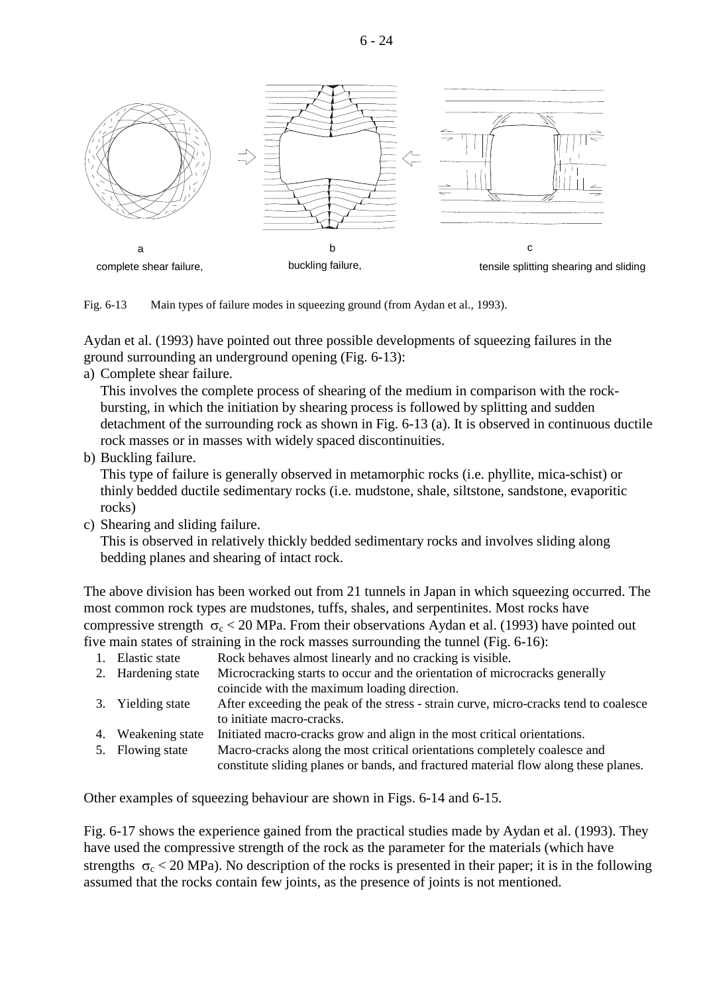

Fig. 6-13 Main types of failure modes in squeezing ground (from Aydan et al., 1993).

Aydan et al. (1993) have pointed out three possible developments of squeezing failures in the ground surrounding an underground opening (Fig. 6-13):

a) Complete shear failure.

This involves the complete process of shearing of the medium in comparison with the rockbursting, in which the initiation by shearing process is followed by splitting and sudden detachment of the surrounding rock as shown in Fig. 6-13 (a). It is observed in continuous ductile rock masses or in masses with widely spaced discontinuities.

b) Buckling failure.

This type of failure is generally observed in metamorphic rocks (i.e. phyllite, mica-schist) or thinly bedded ductile sedimentary rocks (i.e. mudstone, shale, siltstone, sandstone, evaporitic rocks)

c) Shearing and sliding failure.

This is observed in relatively thickly bedded sedimentary rocks and involves sliding along bedding planes and shearing of intact rock.

The above division has been worked out from 21 tunnels in Japan in which squeezing occurred. The most common rock types are mudstones, tuffs, shales, and serpentinites. Most rocks have compressive strength  $\sigma_c < 20$  MPa. From their observations Aydan et al. (1993) have pointed out five main states of straining in the rock masses surrounding the tunnel (Fig. 6-16):

- 1. Elastic state Rock behaves almost linearly and no cracking is visible.
- 2. Hardening state Microcracking starts to occur and the orientation of microcracks generally coincide with the maximum loading direction.
- 3. Yielding state After exceeding the peak of the stress strain curve, micro-cracks tend to coalesce to initiate macro-cracks.
- 4. Weakening state Initiated macro-cracks grow and align in the most critical orientations.
- 5. Flowing state Macro-cracks along the most critical orientations completely coalesce and constitute sliding planes or bands, and fractured material flow along these planes.

Other examples of squeezing behaviour are shown in Figs. 6-14 and 6-15.

Fig. 6-17 shows the experience gained from the practical studies made by Aydan et al. (1993). They have used the compressive strength of the rock as the parameter for the materials (which have strengths  $\sigma_c < 20$  MPa). No description of the rocks is presented in their paper; it is in the following assumed that the rocks contain few joints, as the presence of joints is not mentioned.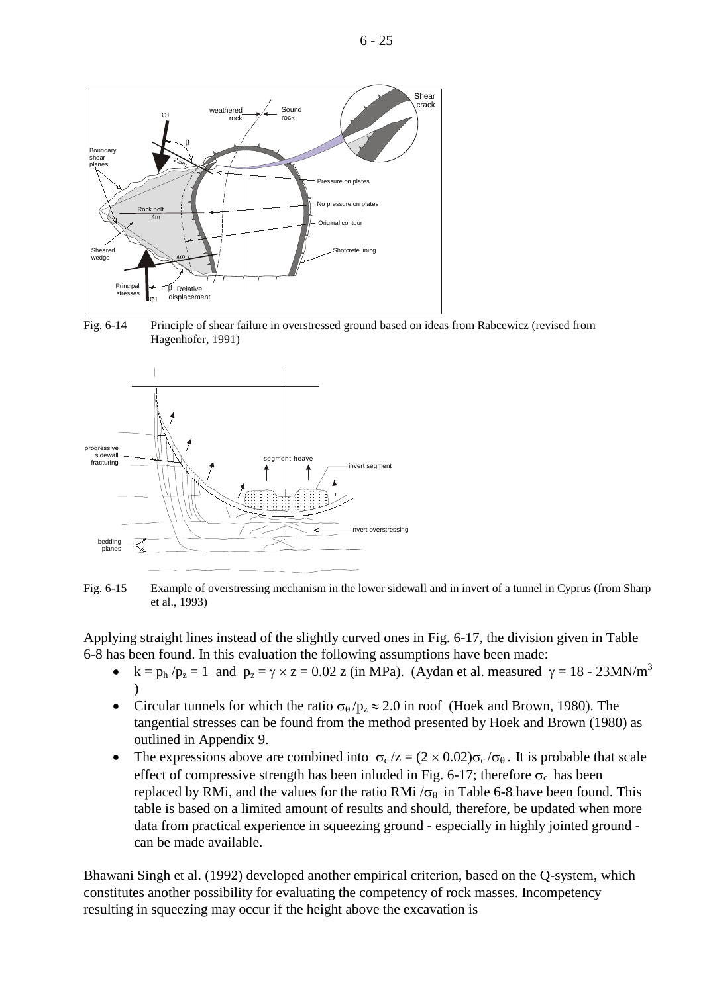

Fig. 6-14 Principle of shear failure in overstressed ground based on ideas from Rabcewicz (revised from Hagenhofer, 1991)



Fig. 6-15 Example of overstressing mechanism in the lower sidewall and in invert of a tunnel in Cyprus (from Sharp et al., 1993)

Applying straight lines instead of the slightly curved ones in Fig. 6-17, the division given in Table 6-8 has been found. In this evaluation the following assumptions have been made:

- $k = p_h / p_z = 1$  and  $p_z = \gamma \times z = 0.02$  z (in MPa). (Aydan et al. measured  $\gamma = 18$  23MN/m<sup>3</sup> )
- Circular tunnels for which the ratio  $\sigma_\theta / p_z \approx 2.0$  in roof (Hoek and Brown, 1980). The tangential stresses can be found from the method presented by Hoek and Brown (1980) as outlined in Appendix 9.
- The expressions above are combined into  $\sigma_c/z = (2 \times 0.02) \sigma_c/\sigma_{\theta}$ . It is probable that scale effect of compressive strength has been inluded in Fig. 6-17; therefore  $\sigma_c$  has been replaced by RMi, and the values for the ratio RMi  $/\sigma_{\theta}$  in Table 6-8 have been found. This table is based on a limited amount of results and should, therefore, be updated when more data from practical experience in squeezing ground - especially in highly jointed ground can be made available.

Bhawani Singh et al. (1992) developed another empirical criterion, based on the Q-system, which constitutes another possibility for evaluating the competency of rock masses. Incompetency resulting in squeezing may occur if the height above the excavation is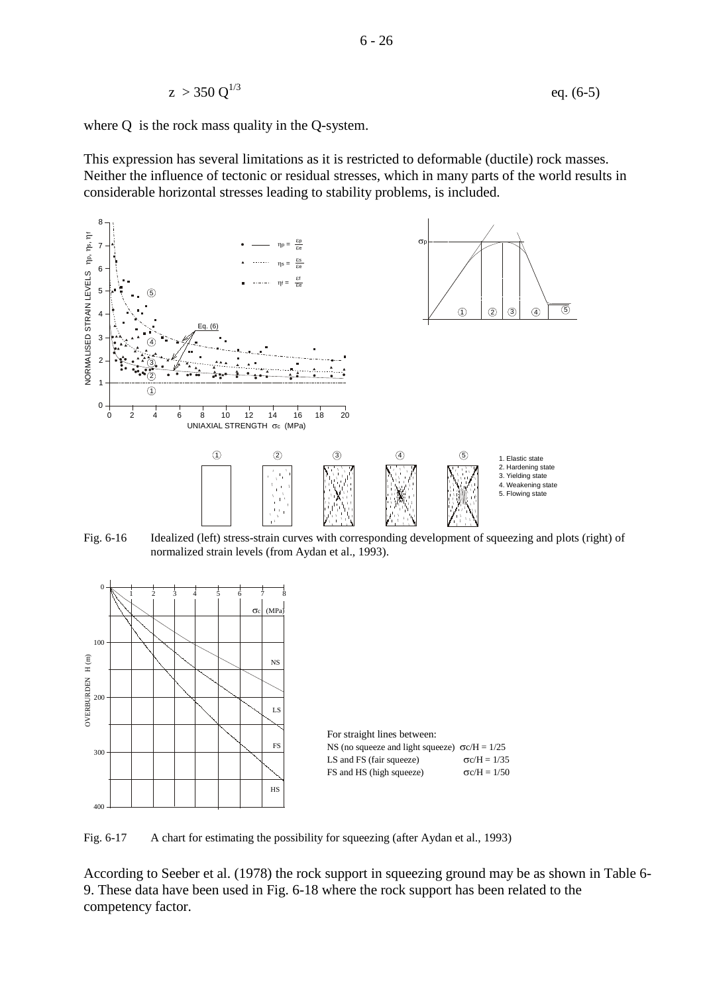$$
z > 350 \, \text{Q}^{1/3} \tag{6-5}
$$

where Q is the rock mass quality in the Q-system.

This expression has several limitations as it is restricted to deformable (ductile) rock masses. Neither the influence of tectonic or residual stresses, which in many parts of the world results in considerable horizontal stresses leading to stability problems, is included.



Fig. 6-16 Idealized (left) stress-strain curves with corresponding development of squeezing and plots (right) of normalized strain levels (from Aydan et al., 1993).



Fig. 6-17 A chart for estimating the possibility for squeezing (after Aydan et al., 1993)

According to Seeber et al. (1978) the rock support in squeezing ground may be as shown in Table 6- 9. These data have been used in Fig. 6-18 where the rock support has been related to the competency factor.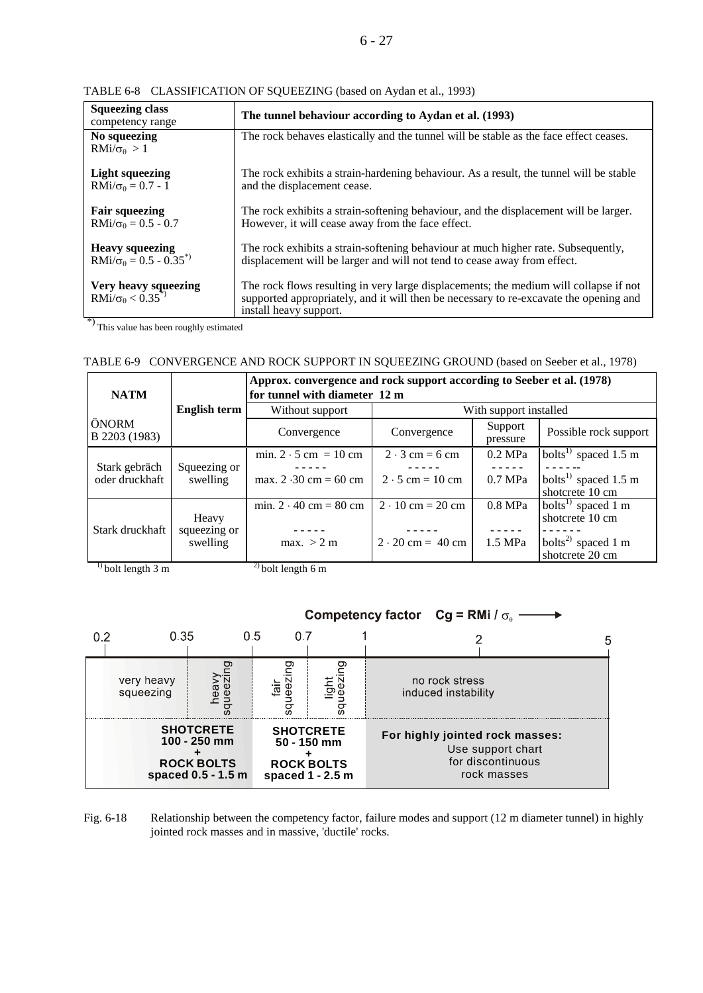#### 6 - 27

| <b>Squeezing class</b><br>competency range                       | The tunnel behaviour according to Aydan et al. (1993)                                                                                                                                                    |  |  |
|------------------------------------------------------------------|----------------------------------------------------------------------------------------------------------------------------------------------------------------------------------------------------------|--|--|
| No squeezing<br>$RMi/\sigma_{\theta} > 1$                        | The rock behaves elastically and the tunnel will be stable as the face effect ceases.                                                                                                                    |  |  |
| <b>Light squeezing</b><br>$RMi/\sigma_{\theta}=0.7 - 1$          | The rock exhibits a strain-hardening behaviour. As a result, the tunnel will be stable<br>and the displacement cease.                                                                                    |  |  |
| <b>Fair squeezing</b><br>$RMi/\sigma_{\theta}=0.5 - 0.7$         | The rock exhibits a strain-softening behaviour, and the displacement will be larger.<br>However, it will cease away from the face effect.                                                                |  |  |
| <b>Heavy squeezing</b><br>$RMi/\sigma_{\theta} = 0.5 - 0.35^{*}$ | The rock exhibits a strain-softening behaviour at much higher rate. Subsequently,<br>displacement will be larger and will not tend to cease away from effect.                                            |  |  |
| Very heavy squeezing<br>$RMi/\sigma_{\theta} < 0.35^{(*)}$       | The rock flows resulting in very large displacements; the medium will collapse if not<br>supported appropriately, and it will then be necessary to re-excavate the opening and<br>install heavy support. |  |  |

TABLE 6-8 CLASSIFICATION OF SQUEEZING (based on Aydan et al., 1993)

\*) This value has been roughly estimated

|  |  |  | TABLE 6-9 CONVERGENCE AND ROCK SUPPORT IN SQUEEZING GROUND (based on Seeber et al., 1978) |  |
|--|--|--|-------------------------------------------------------------------------------------------|--|
|--|--|--|-------------------------------------------------------------------------------------------|--|

| <b>NATM</b>                     |                                   | Approx. convergence and rock support according to Seeber et al. (1978)<br>for tunnel with diameter 12 m |                                         |                     |                                                       |  |
|---------------------------------|-----------------------------------|---------------------------------------------------------------------------------------------------------|-----------------------------------------|---------------------|-------------------------------------------------------|--|
|                                 | <b>English term</b>               | Without support                                                                                         | With support installed                  |                     |                                                       |  |
| ÖNORM<br>B 2203 (1983)          |                                   | Convergence                                                                                             | Convergence                             | Support<br>pressure | Possible rock support                                 |  |
|                                 |                                   | min. $2 \cdot 5$ cm = 10 cm                                                                             | $2 \cdot 3$ cm = 6 cm                   | $0.2$ MPa           | $\overline{\text{bol}}$ ts <sup>1)</sup> spaced 1.5 m |  |
| Stark gebräch<br>oder druckhaft | Squeezing or<br>swelling          |                                                                                                         |                                         |                     |                                                       |  |
|                                 |                                   | max. $2 \cdot 30 \text{ cm} = 60 \text{ cm}$                                                            | $2 \cdot 5$ cm = 10 cm                  | $0.7$ MPa           | bolts <sup>1)</sup> spaced 1.5 m                      |  |
|                                 |                                   |                                                                                                         |                                         |                     | shotcrete 10 cm                                       |  |
|                                 |                                   | min. $2 \cdot 40$ cm = 80 cm                                                                            | $2 \cdot 10 \text{ cm} = 20 \text{ cm}$ | $0.8$ MPa           | bolts <sup>1)</sup> spaced 1 m                        |  |
|                                 | Heavy<br>squeezing or<br>swelling |                                                                                                         |                                         |                     | shotcrete 10 cm                                       |  |
| Stark druckhaft                 |                                   |                                                                                                         |                                         |                     |                                                       |  |
|                                 |                                   | max. > 2 m                                                                                              | $2 \cdot 20 \text{ cm} = 40 \text{ cm}$ | $1.5$ MPa           | bolts <sup>2)</sup> spaced 1 m                        |  |
|                                 |                                   |                                                                                                         |                                         |                     | shotcrete 20 cm                                       |  |
| $^{1}$ bolt length 3 m          |                                   | $^{2)}$ bolt length 6 m                                                                                 |                                         |                     |                                                       |  |



Fig. 6-18 Relationship between the competency factor, failure modes and support (12 m diameter tunnel) in highly jointed rock masses and in massive, 'ductile' rocks.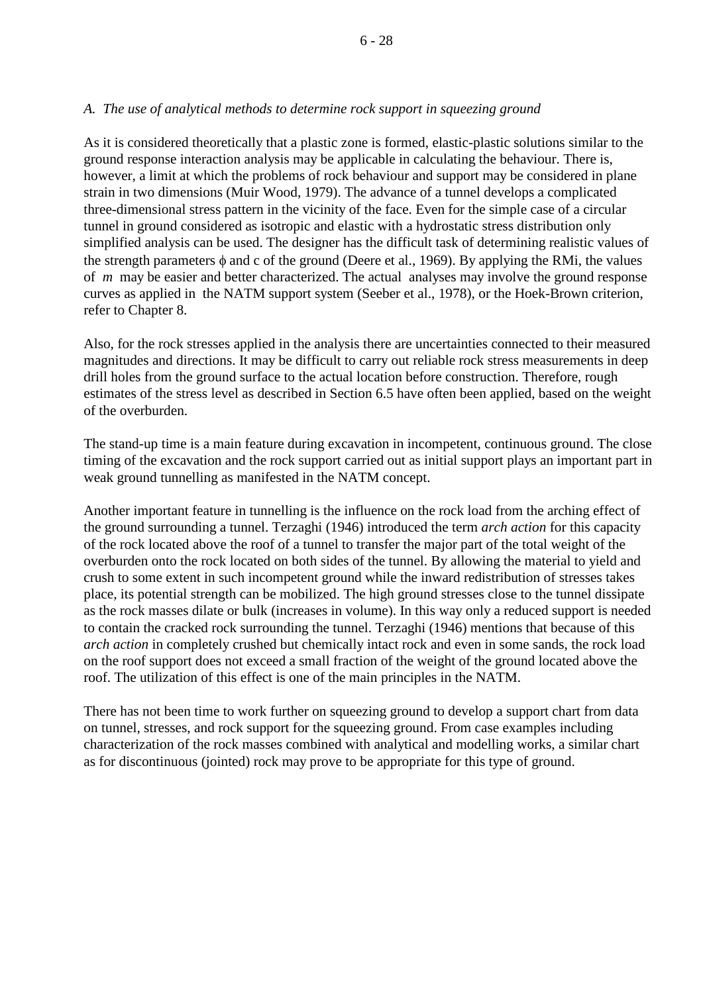### *A. The use of analytical methods to determine rock support in squeezing ground*

As it is considered theoretically that a plastic zone is formed, elastic-plastic solutions similar to the ground response interaction analysis may be applicable in calculating the behaviour. There is, however, a limit at which the problems of rock behaviour and support may be considered in plane strain in two dimensions (Muir Wood, 1979). The advance of a tunnel develops a complicated three-dimensional stress pattern in the vicinity of the face. Even for the simple case of a circular tunnel in ground considered as isotropic and elastic with a hydrostatic stress distribution only simplified analysis can be used. The designer has the difficult task of determining realistic values of the strength parameters  $\phi$  and c of the ground (Deere et al., 1969). By applying the RMi, the values of *m* may be easier and better characterized. The actual analyses may involve the ground response curves as applied in the NATM support system (Seeber et al., 1978), or the Hoek-Brown criterion, refer to Chapter 8.

Also, for the rock stresses applied in the analysis there are uncertainties connected to their measured magnitudes and directions. It may be difficult to carry out reliable rock stress measurements in deep drill holes from the ground surface to the actual location before construction. Therefore, rough estimates of the stress level as described in Section 6.5 have often been applied, based on the weight of the overburden.

The stand-up time is a main feature during excavation in incompetent, continuous ground. The close timing of the excavation and the rock support carried out as initial support plays an important part in weak ground tunnelling as manifested in the NATM concept.

Another important feature in tunnelling is the influence on the rock load from the arching effect of the ground surrounding a tunnel. Terzaghi (1946) introduced the term *arch action* for this capacity of the rock located above the roof of a tunnel to transfer the major part of the total weight of the overburden onto the rock located on both sides of the tunnel. By allowing the material to yield and crush to some extent in such incompetent ground while the inward redistribution of stresses takes place, its potential strength can be mobilized. The high ground stresses close to the tunnel dissipate as the rock masses dilate or bulk (increases in volume). In this way only a reduced support is needed to contain the cracked rock surrounding the tunnel. Terzaghi (1946) mentions that because of this *arch action* in completely crushed but chemically intact rock and even in some sands, the rock load on the roof support does not exceed a small fraction of the weight of the ground located above the roof. The utilization of this effect is one of the main principles in the NATM.

There has not been time to work further on squeezing ground to develop a support chart from data on tunnel, stresses, and rock support for the squeezing ground. From case examples including characterization of the rock masses combined with analytical and modelling works, a similar chart as for discontinuous (jointed) rock may prove to be appropriate for this type of ground.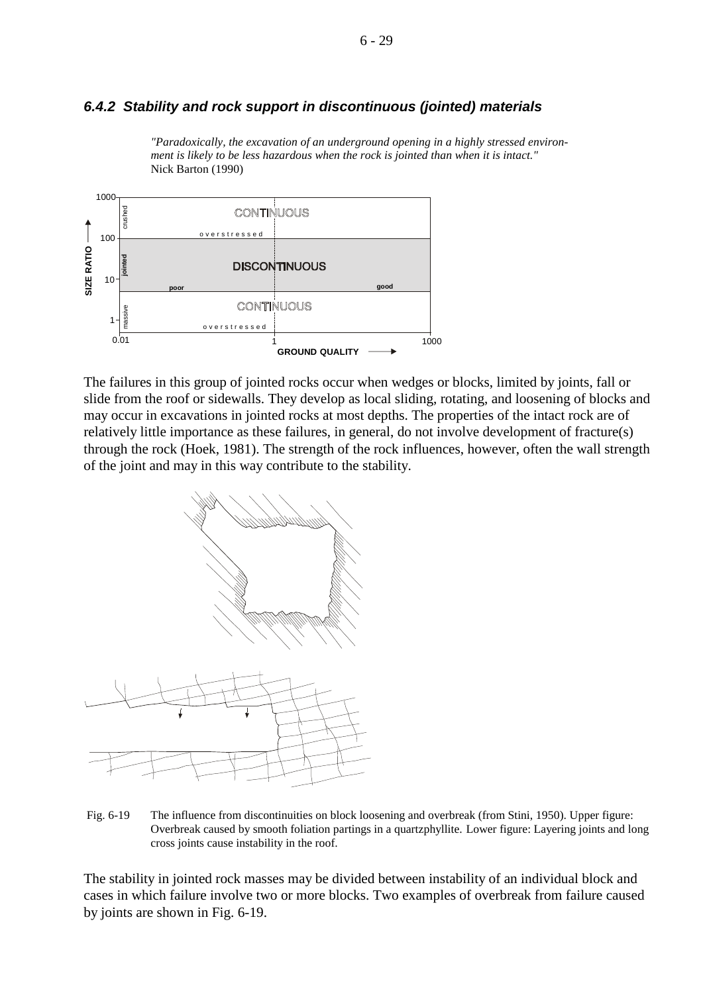#### 6 - 29

## *6.4.2 Stability and rock support in discontinuous (jointed) materials*



*"Paradoxically, the excavation of an underground opening in a highly stressed environment is likely to be less hazardous when the rock is jointed than when it is intact."* Nick Barton (1990)

The failures in this group of jointed rocks occur when wedges or blocks, limited by joints, fall or slide from the roof or sidewalls. They develop as local sliding, rotating, and loosening of blocks and may occur in excavations in jointed rocks at most depths. The properties of the intact rock are of relatively little importance as these failures, in general, do not involve development of fracture(s) through the rock (Hoek, 1981). The strength of the rock influences, however, often the wall strength of the joint and may in this way contribute to the stability.



Fig. 6-19 The influence from discontinuities on block loosening and overbreak (from Stini, 1950). Upper figure: Overbreak caused by smooth foliation partings in a quartzphyllite. Lower figure: Layering joints and long cross joints cause instability in the roof.

The stability in jointed rock masses may be divided between instability of an individual block and cases in which failure involve two or more blocks. Two examples of overbreak from failure caused by joints are shown in Fig. 6-19.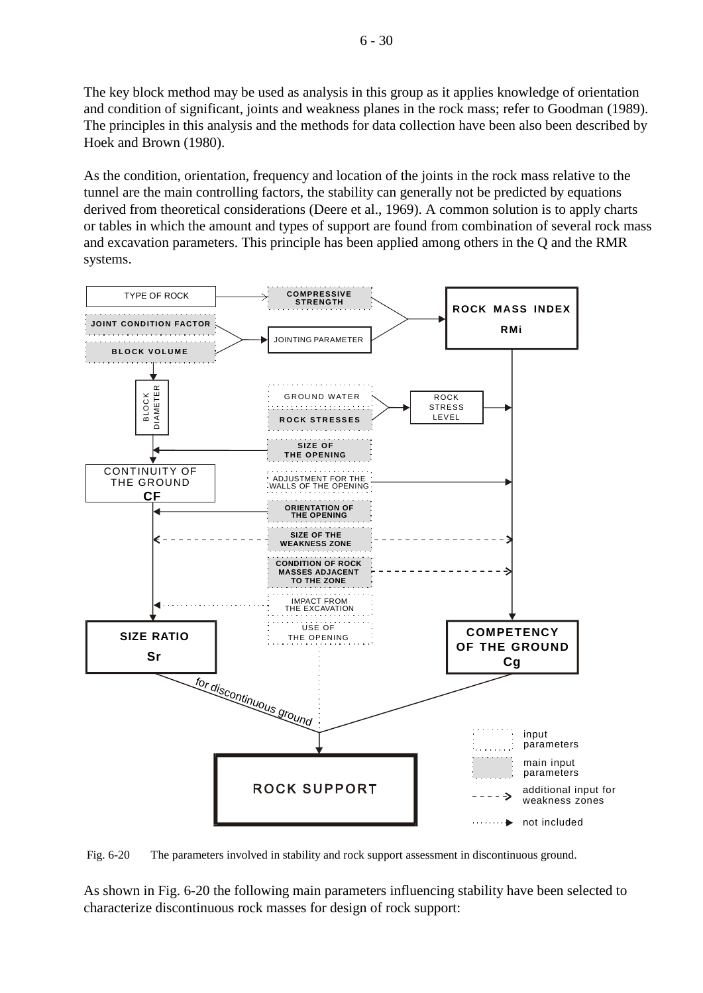The key block method may be used as analysis in this group as it applies knowledge of orientation and condition of significant, joints and weakness planes in the rock mass; refer to Goodman (1989). The principles in this analysis and the methods for data collection have been also been described by Hoek and Brown (1980).

As the condition, orientation, frequency and location of the joints in the rock mass relative to the tunnel are the main controlling factors, the stability can generally not be predicted by equations derived from theoretical considerations (Deere et al., 1969). A common solution is to apply charts or tables in which the amount and types of support are found from combination of several rock mass and excavation parameters. This principle has been applied among others in the Q and the RMR systems.



Fig. 6-20 The parameters involved in stability and rock support assessment in discontinuous ground.

As shown in Fig. 6-20 the following main parameters influencing stability have been selected to characterize discontinuous rock masses for design of rock support: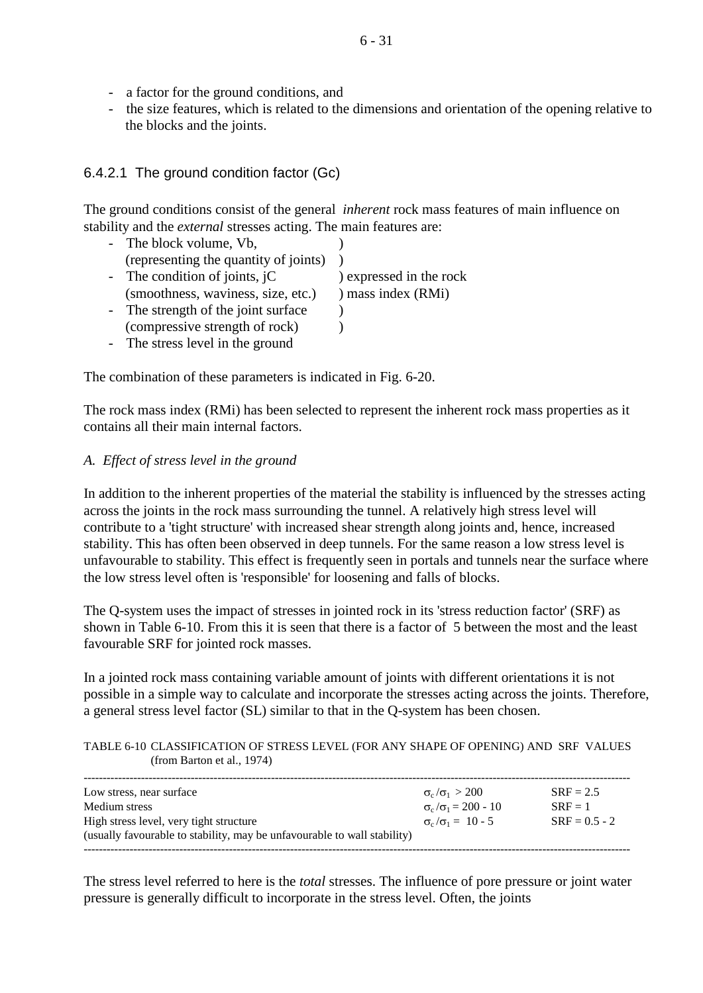- a factor for the ground conditions, and
- the size features, which is related to the dimensions and orientation of the opening relative to the blocks and the joints.

# 6.4.2.1 The ground condition factor (Gc)

The ground conditions consist of the general *inherent* rock mass features of main influence on stability and the *external* stresses acting. The main features are:

| - The block volume, Vb,               |                         |
|---------------------------------------|-------------------------|
| (representing the quantity of joints) |                         |
| - The condition of joints, $iC$       | ) expressed in the rock |
| (smoothness, waviness, size, etc.)    | ) mass index (RMi)      |
| - The strength of the joint surface   |                         |
| (compressive strength of rock)        |                         |

- The stress level in the ground

The combination of these parameters is indicated in Fig. 6-20.

The rock mass index (RMi) has been selected to represent the inherent rock mass properties as it contains all their main internal factors.

# *A. Effect of stress level in the ground*

In addition to the inherent properties of the material the stability is influenced by the stresses acting across the joints in the rock mass surrounding the tunnel. A relatively high stress level will contribute to a 'tight structure' with increased shear strength along joints and, hence, increased stability. This has often been observed in deep tunnels. For the same reason a low stress level is unfavourable to stability. This effect is frequently seen in portals and tunnels near the surface where the low stress level often is 'responsible' for loosening and falls of blocks.

The Q-system uses the impact of stresses in jointed rock in its 'stress reduction factor' (SRF) as shown in Table 6-10. From this it is seen that there is a factor of 5 between the most and the least favourable SRF for jointed rock masses.

In a jointed rock mass containing variable amount of joints with different orientations it is not possible in a simple way to calculate and incorporate the stresses acting across the joints. Therefore, a general stress level factor (SL) similar to that in the Q-system has been chosen.

### TABLE 6-10 CLASSIFICATION OF STRESS LEVEL (FOR ANY SHAPE OF OPENING) AND SRF VALUES (from Barton et al., 1974)

| Low stress, near surface                                                 | $\sigma_{\rm c}/\sigma_1 > 200$ | $SRF = 2.5$     |
|--------------------------------------------------------------------------|---------------------------------|-----------------|
| Medium stress                                                            | $\sigma_c/\sigma_1 = 200 - 10$  | $SRF = 1$       |
| High stress level, very tight structure                                  | $\sigma_c/\sigma_1 = 10 - 5$    | $SRF = 0.5 - 2$ |
| (usually favourable to stability, may be unfavourable to wall stability) |                                 |                 |
|                                                                          |                                 |                 |

The stress level referred to here is the *total* stresses. The influence of pore pressure or joint water pressure is generally difficult to incorporate in the stress level. Often, the joints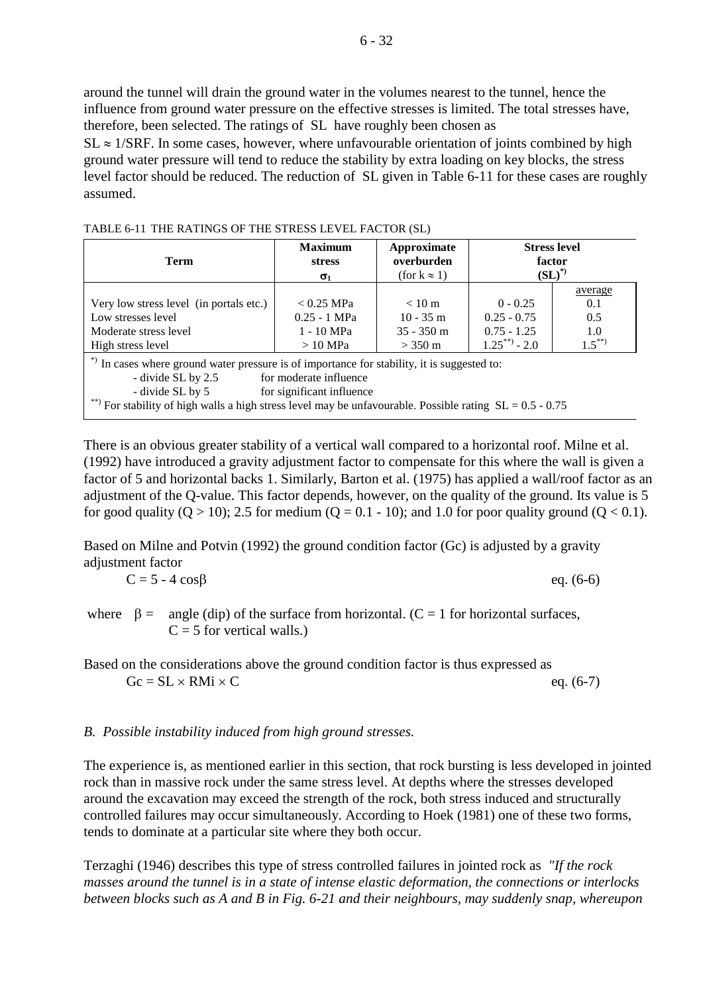$6 - 32$ 

around the tunnel will drain the ground water in the volumes nearest to the tunnel, hence the influence from ground water pressure on the effective stresses is limited. The total stresses have, therefore, been selected. The ratings of SL have roughly been chosen as  $SL \approx 1/SRF$ . In some cases, however, where unfavourable orientation of joints combined by high ground water pressure will tend to reduce the stability by extra loading on key blocks, the stress level factor should be reduced. The reduction of SL given in Table 6-11 for these cases are roughly assumed.

TABLE 6-11 THE RATINGS OF THE STRESS LEVEL FACTOR (SL)

| <b>Term</b>                                                                                                                                                                                                                                                                                                | <b>Maximum</b><br><b>stress</b><br>$\sigma_1$             | Approximate<br>overburden<br>(for $k \approx 1$ )                    | <b>Stress level</b><br>factor<br>$\mathrm{(SL)}^{*}$         |                                          |  |  |
|------------------------------------------------------------------------------------------------------------------------------------------------------------------------------------------------------------------------------------------------------------------------------------------------------------|-----------------------------------------------------------|----------------------------------------------------------------------|--------------------------------------------------------------|------------------------------------------|--|--|
| Very low stress level (in portals etc.)<br>Low stresses level<br>Moderate stress level<br>High stress level                                                                                                                                                                                                | $< 0.25$ MPa<br>$0.25 - 1$ MPa<br>1 - 10 MPa<br>$>10$ MPa | $< 10 \text{ m}$<br>$10 - 35$ m<br>$35 - 350$ m<br>$> 350 \text{ m}$ | $0 - 0.25$<br>$0.25 - 0.75$<br>$0.75 - 1.25$<br>$1.25***2.0$ | average<br>0.1<br>0.5<br>1.0<br>$1.5***$ |  |  |
| *) In cases where ground water pressure is of importance for stability, it is suggested to:<br>for moderate influence<br>- divide SL by 2.5<br>- divide SL by 5<br>for significant influence<br>**) For stability of high walls a high stress level may be unfavourable. Possible rating $SL = 0.5 - 0.75$ |                                                           |                                                                      |                                                              |                                          |  |  |

There is an obvious greater stability of a vertical wall compared to a horizontal roof. Milne et al. (1992) have introduced a gravity adjustment factor to compensate for this where the wall is given a factor of 5 and horizontal backs 1. Similarly, Barton et al. (1975) has applied a wall/roof factor as an adjustment of the Q-value. This factor depends, however, on the quality of the ground. Its value is 5 for good quality  $(Q > 10)$ ; 2.5 for medium  $(Q = 0.1 - 10)$ ; and 1.0 for poor quality ground  $(Q < 0.1)$ .

Based on Milne and Potvin (1992) the ground condition factor (Gc) is adjusted by a gravity adjustment factor

$$
C = 5 - 4 \cos\beta \qquad \text{eq. (6-6)}
$$

where  $\beta = \text{angle (dip)}$  of the surface from horizontal. (C = 1 for horizontal surfaces,  $C = 5$  for vertical walls.)

Based on the considerations above the ground condition factor is thus expressed as  $Gc = SL \times RMi \times C$  eq. (6-7)

## *B. Possible instability induced from high ground stresses.*

The experience is, as mentioned earlier in this section, that rock bursting is less developed in jointed rock than in massive rock under the same stress level. At depths where the stresses developed around the excavation may exceed the strength of the rock, both stress induced and structurally controlled failures may occur simultaneously. According to Hoek (1981) one of these two forms, tends to dominate at a particular site where they both occur.

Terzaghi (1946) describes this type of stress controlled failures in jointed rock as *"If the rock masses around the tunnel is in a state of intense elastic deformation, the connections or interlocks between blocks such as A and B in Fig. 6-21 and their neighbours, may suddenly snap, whereupon*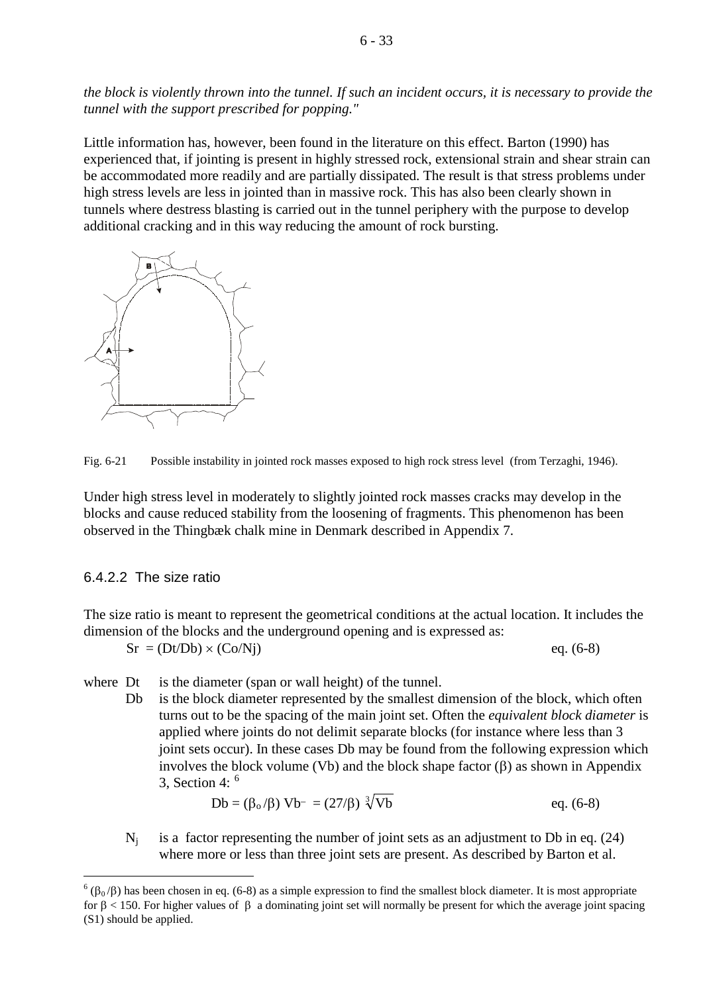*the block is violently thrown into the tunnel. If such an incident occurs, it is necessary to provide the tunnel with the support prescribed for popping."*

Little information has, however, been found in the literature on this effect. Barton (1990) has experienced that, if jointing is present in highly stressed rock, extensional strain and shear strain can be accommodated more readily and are partially dissipated. The result is that stress problems under high stress levels are less in jointed than in massive rock. This has also been clearly shown in tunnels where destress blasting is carried out in the tunnel periphery with the purpose to develop additional cracking and in this way reducing the amount of rock bursting.



Fig. 6-21 Possible instability in jointed rock masses exposed to high rock stress level (from Terzaghi, 1946).

Under high stress level in moderately to slightly jointed rock masses cracks may develop in the blocks and cause reduced stability from the loosening of fragments. This phenomenon has been observed in the Thingbæk chalk mine in Denmark described in Appendix 7.

### 6.4.2.2 The size ratio

The size ratio is meant to represent the geometrical conditions at the actual location. It includes the dimension of the blocks and the underground opening and is expressed as:

$$
Sr = (Dt/Db) \times (Co/Nj)
$$
eq. (6-8)

- where Dt is the diameter (span or wall height) of the tunnel.
	- Db is the block diameter represented by the smallest dimension of the block, which often turns out to be the spacing of the main joint set. Often the *equivalent block diameter* is applied where joints do not delimit separate blocks (for instance where less than 3 joint sets occur). In these cases Db may be found from the following expression which involves the block volume (Vb) and the block shape factor  $(\beta)$  as shown in Appendix 3. Section 4:  $6$

$$
Db = (\beta_0/\beta) Vb^- = (27/\beta) \sqrt[3]{Vb} \qquad \text{eq. (6-8)}
$$

 $N_i$  is a factor representing the number of joint sets as an adjustment to Db in eq. (24) where more or less than three joint sets are present. As described by Barton et al.

<span id="page-32-0"></span> $<sup>6</sup>(β<sub>0</sub>/β)$  has been chosen in eq. (6-8) as a simple expression to find the smallest block diameter. It is most appropriate</sup> for β < 150. For higher values of β a dominating joint set will normally be present for which the average joint spacing (S1) should be applied.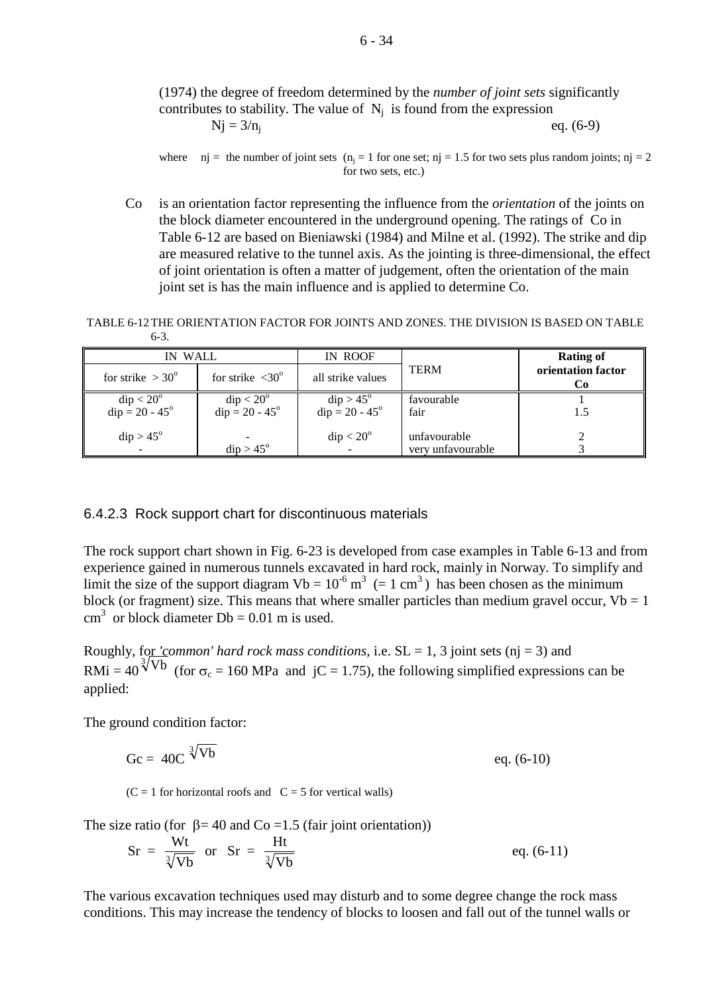#### (1974) the degree of freedom determined by the *number of joint sets* significantly contributes to stability. The value of  $N_i$  is found from the expression  $Nj = 3/n_i$  **eq.** (6-9)

where  $nj =$  the number of joint sets  $(n<sub>i</sub> = 1$  for one set;  $nj = 1.5$  for two sets plus random joints;  $nj = 2$ for two sets, etc.)

Co is an orientation factor representing the influence from the *orientation* of the joints on the block diameter encountered in the underground opening. The ratings of Co in Table 6-12 are based on Bieniawski (1984) and Milne et al. (1992). The strike and dip are measured relative to the tunnel axis. As the jointing is three-dimensional, the effect of joint orientation is often a matter of judgement, often the orientation of the main joint set is has the main influence and is applied to determine Co.

TABLE 6-12THE ORIENTATION FACTOR FOR JOINTS AND ZONES. THE DIVISION IS BASED ON TABLE 6-3.

| IN WALL                  |                               | IN ROOF                   |                   | <b>Rating of</b>         |
|--------------------------|-------------------------------|---------------------------|-------------------|--------------------------|
| for strike $>30^{\circ}$ | for strike $\langle 30^\circ$ | all strike values         | <b>TERM</b>       | orientation factor<br>Co |
| $dip < 20^{\circ}$       | $dip < 20^\circ$              | $\text{dip} > 45^{\circ}$ | favourable        |                          |
| $dip = 20 - 45^{\circ}$  | $dip = 20 - 45^{\circ}$       | $dip = 20 - 45^{\circ}$   | fair              | 1.5                      |
| $dip > 45^\circ$         |                               | $dip < 20^\circ$          | unfavourable      |                          |
|                          | $dip > 45^\circ$              |                           | very unfavourable |                          |

#### 6.4.2.3 Rock support chart for discontinuous materials

The rock support chart shown in Fig. 6-23 is developed from case examples in Table 6-13 and from experience gained in numerous tunnels excavated in hard rock, mainly in Norway. To simplify and limit the size of the support diagram  $Vb = 10^{-6}$  m<sup>3</sup> (= 1 cm<sup>3</sup>) has been chosen as the minimum block (or fragment) size. This means that where smaller particles than medium gravel occur,  $Vb = 1$ cm<sup>3</sup> or block diameter Db = 0.01 m is used.

Roughly, for *'common' hard rock mass conditions*, i.e.  $SL = 1$ , 3 joint sets (nj = 3) and RMi =  $40^{\frac{3}{\sqrt{10}}}$  (for  $\sigma_c = 160$  MPa and jC = 1.75), the following simplified expressions can be applied:

The ground condition factor:

Gc =  $40C \sqrt[3]{Vb}$  $\sqrt[3]{\text{Vb}}$  eq. (6-10)

 $(C = 1$  for horizontal roofs and  $C = 5$  for vertical walls)

The size ratio (for  $\beta$  = 40 and Co = 1.5 (fair joint orientation))

$$
Sr = \frac{Wt}{\sqrt[3]{Vb}} \quad \text{or} \quad Sr = \frac{Ht}{\sqrt[3]{Vb}} \tag{6-11}
$$

The various excavation techniques used may disturb and to some degree change the rock mass conditions. This may increase the tendency of blocks to loosen and fall out of the tunnel walls or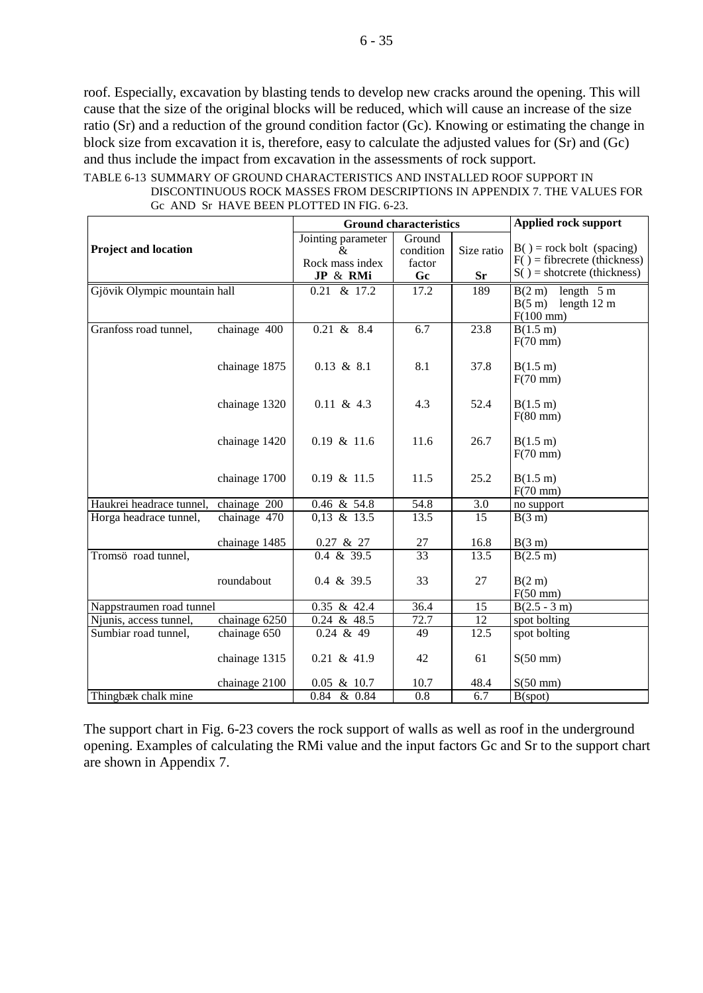roof. Especially, excavation by blasting tends to develop new cracks around the opening. This will cause that the size of the original blocks will be reduced, which will cause an increase of the size ratio (Sr) and a reduction of the ground condition factor (Gc). Knowing or estimating the change in block size from excavation it is, therefore, easy to calculate the adjusted values for (Sr) and (Gc) and thus include the impact from excavation in the assessments of rock support.

|                                         | <b>Ground characteristics</b>                          |                                     |                         | <b>Applied rock support</b>                                                                    |                                                                              |
|-----------------------------------------|--------------------------------------------------------|-------------------------------------|-------------------------|------------------------------------------------------------------------------------------------|------------------------------------------------------------------------------|
| <b>Project and location</b>             | Jointing parameter<br>&<br>Rock mass index<br>JP & RMi | Ground<br>condition<br>factor<br>Gc | Size ratio<br><b>Sr</b> | $B() = rock bolt (spacing)$<br>$F()$ = fibrecrete (thickness)<br>$S()$ = shotcrete (thickness) |                                                                              |
| Gjövik Olympic mountain hall            |                                                        | $0.21 \& 17.2$                      | 17.2                    | 189                                                                                            | B(2 m)<br>length $5m$<br>$B(5 \text{ m})$ length 12 m<br>$F(100 \text{ mm})$ |
| Granfoss road tunnel,                   | chainage 400                                           | $0.21 \& 8.4$                       | 6.7                     | 23.8                                                                                           | B(1.5 m)<br>$F(70$ mm)                                                       |
|                                         | chainage 1875                                          | $0.13 \& 8.1$                       | 8.1                     | 37.8                                                                                           | B(1.5 m)<br>$F(70$ mm)                                                       |
|                                         | chainage 1320                                          | $0.11 \& 4.3$                       | 4.3                     | 52.4                                                                                           | B(1.5 m)<br>$F(80$ mm)                                                       |
|                                         | chainage 1420                                          | $0.19$ & 11.6                       | 11.6                    | 26.7                                                                                           | B(1.5 m)<br>$F(70$ mm)                                                       |
|                                         | chainage 1700                                          | 0.19 & 11.5                         | 11.5                    | 25.2                                                                                           | B(1.5 m)<br>$F(70$ mm)                                                       |
| Haukrei headrace tunnel,                | chainage 200                                           | 0.46 & 54.8                         | 54.8                    | 3.0                                                                                            | no support                                                                   |
| Horga headrace tunnel,                  | chainage 470                                           | $0,13$ & 13.5                       | 13.5                    | $\overline{15}$                                                                                | B(3 m)                                                                       |
| chainage 1485                           |                                                        | 0.27 & 27<br>$0.4 \& 39.5$          | 27<br>33                | 16.8<br>13.5                                                                                   | B(3 m)                                                                       |
| Tromsö road tunnel,                     | roundabout                                             | 0.4 & 39.5                          | 33                      | 27                                                                                             | B(2.5 m)<br>B(2 m)<br>$F(50$ mm)                                             |
| Nappstraumen road tunnel                |                                                        | $0.35$ & 42.4                       | 36.4                    | 15                                                                                             | $B(2.5 - 3 m)$                                                               |
| chainage 6250<br>Njunis, access tunnel, |                                                        | $\overline{0.24}$ & 48.5            | 72.7                    | $\overline{12}$                                                                                | spot bolting                                                                 |
| Sumbiar road tunnel,                    | chainage 650                                           | $0.24$ & 49                         | 49                      | 12.5                                                                                           | spot bolting                                                                 |
|                                         | chainage 1315                                          | $0.21 \& 41.9$                      | 42                      | 61                                                                                             | $S(50$ mm)                                                                   |
| chainage 2100                           |                                                        | $0.05$ & 10.7                       | 10.7                    | 48.4                                                                                           | $S(50 \text{ mm})$                                                           |
| Thingbæk chalk mine                     |                                                        | $0.84 \& 0.84$                      | $\overline{0.8}$        | 6.7                                                                                            | B(spot)                                                                      |

TABLE 6-13 SUMMARY OF GROUND CHARACTERISTICS AND INSTALLED ROOF SUPPORT IN DISCONTINUOUS ROCK MASSES FROM DESCRIPTIONS IN APPENDIX 7. THE VALUES FOR Gc AND Sr HAVE BEEN PLOTTED IN FIG. 6-23.

The support chart in Fig. 6-23 covers the rock support of walls as well as roof in the underground opening. Examples of calculating the RMi value and the input factors Gc and Sr to the support chart are shown in Appendix 7.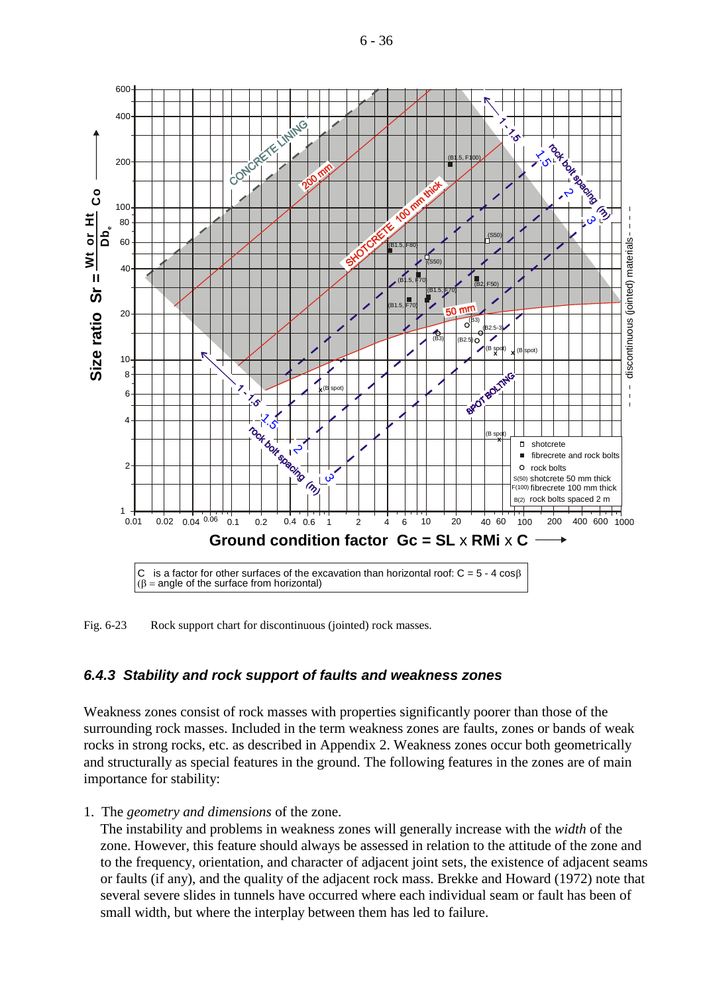

Fig. 6-23 Rock support chart for discontinuous (jointed) rock masses.

## *6.4.3 Stability and rock support of faults and weakness zones*

Weakness zones consist of rock masses with properties significantly poorer than those of the surrounding rock masses. Included in the term weakness zones are faults, zones or bands of weak rocks in strong rocks, etc. as described in Appendix 2. Weakness zones occur both geometrically and structurally as special features in the ground. The following features in the zones are of main importance for stability:

1. The *geometry and dimensions* of the zone.

The instability and problems in weakness zones will generally increase with the *width* of the zone. However, this feature should always be assessed in relation to the attitude of the zone and to the frequency, orientation, and character of adjacent joint sets, the existence of adjacent seams or faults (if any), and the quality of the adjacent rock mass. Brekke and Howard (1972) note that several severe slides in tunnels have occurred where each individual seam or fault has been of small width, but where the interplay between them has led to failure.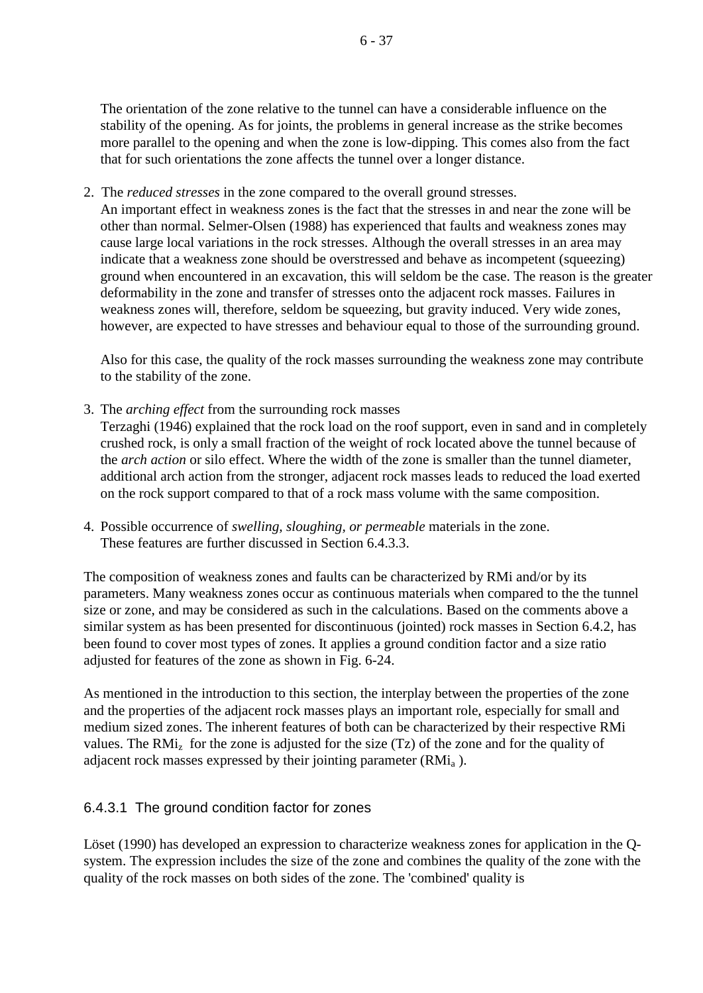The orientation of the zone relative to the tunnel can have a considerable influence on the stability of the opening. As for joints, the problems in general increase as the strike becomes more parallel to the opening and when the zone is low-dipping. This comes also from the fact that for such orientations the zone affects the tunnel over a longer distance.

2. The *reduced stresses* in the zone compared to the overall ground stresses.

An important effect in weakness zones is the fact that the stresses in and near the zone will be other than normal. Selmer-Olsen (1988) has experienced that faults and weakness zones may cause large local variations in the rock stresses. Although the overall stresses in an area may indicate that a weakness zone should be overstressed and behave as incompetent (squeezing) ground when encountered in an excavation, this will seldom be the case. The reason is the greater deformability in the zone and transfer of stresses onto the adjacent rock masses. Failures in weakness zones will, therefore, seldom be squeezing, but gravity induced. Very wide zones, however, are expected to have stresses and behaviour equal to those of the surrounding ground.

Also for this case, the quality of the rock masses surrounding the weakness zone may contribute to the stability of the zone.

- 3. The *arching effect* from the surrounding rock masses Terzaghi (1946) explained that the rock load on the roof support, even in sand and in completely crushed rock, is only a small fraction of the weight of rock located above the tunnel because of the *arch action* or silo effect. Where the width of the zone is smaller than the tunnel diameter, additional arch action from the stronger, adjacent rock masses leads to reduced the load exerted on the rock support compared to that of a rock mass volume with the same composition.
- 4. Possible occurrence of *swelling, sloughing, or permeable* materials in the zone. These features are further discussed in Section 6.4.3.3.

The composition of weakness zones and faults can be characterized by RMi and/or by its parameters. Many weakness zones occur as continuous materials when compared to the the tunnel size or zone, and may be considered as such in the calculations. Based on the comments above a similar system as has been presented for discontinuous (jointed) rock masses in Section 6.4.2, has been found to cover most types of zones. It applies a ground condition factor and a size ratio adjusted for features of the zone as shown in Fig. 6-24.

As mentioned in the introduction to this section, the interplay between the properties of the zone and the properties of the adjacent rock masses plays an important role, especially for small and medium sized zones. The inherent features of both can be characterized by their respective RMi values. The  $RMi<sub>z</sub>$  for the zone is adjusted for the size (Tz) of the zone and for the quality of adjacent rock masses expressed by their jointing parameter  $(RMi_a)$ .

# 6.4.3.1 The ground condition factor for zones

Löset (1990) has developed an expression to characterize weakness zones for application in the Qsystem. The expression includes the size of the zone and combines the quality of the zone with the quality of the rock masses on both sides of the zone. The 'combined' quality is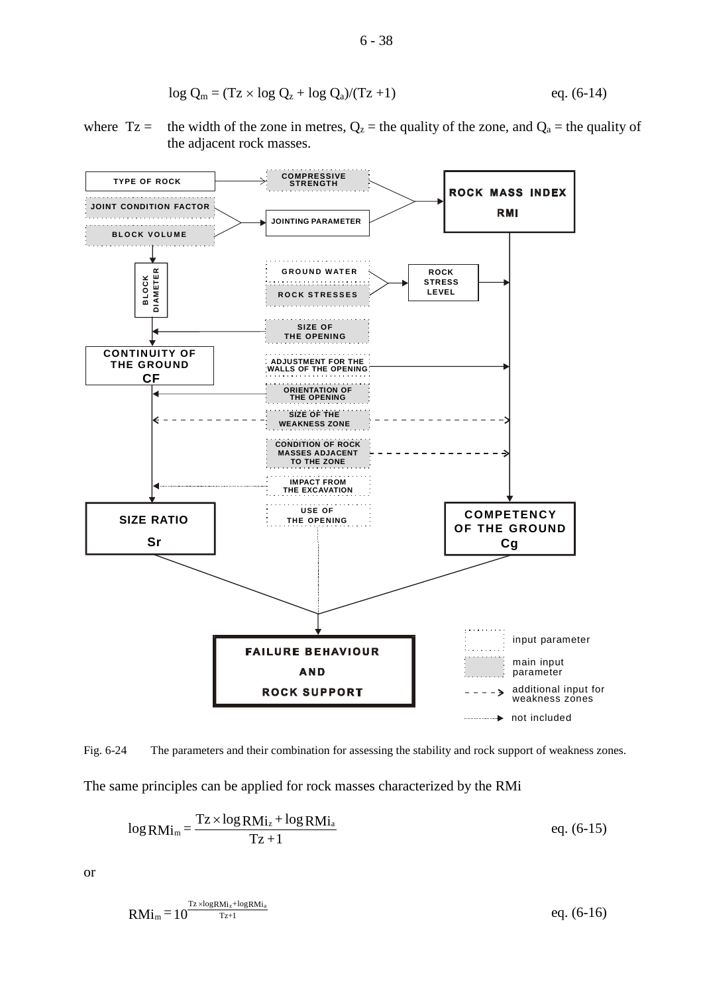$$
\log Q_m = (Tz \times \log Q_z + \log Q_a)/(Tz + 1) \qquad \qquad \text{eq. (6-14)}
$$

where  $Tz =$  the width of the zone in metres,  $Q_z$  = the quality of the zone, and  $Q_a$  = the quality of the adjacent rock masses.



Fig. 6-24 The parameters and their combination for assessing the stability and rock support of weakness zones.

The same principles can be applied for rock masses characterized by the RMi

$$
\log \text{RM}_{\text{Im}} = \frac{\text{Tz} \times \log \text{RM}_{\text{1z}} + \log \text{RM}_{\text{1a}}}{\text{Tz} + 1} \tag{6-15}
$$

or

$$
RMi_m = 10^{\frac{Tx \times logRMi_z + logRMi_a}{Tz + 1}}
$$
eq. (6-16)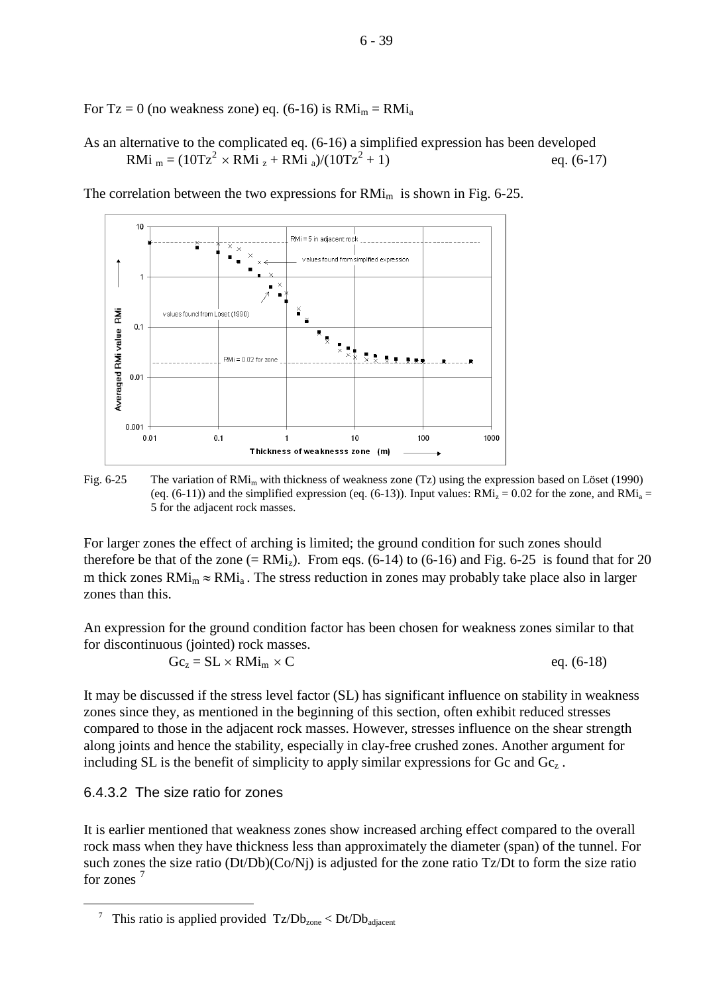For Tz = 0 (no weakness zone) eq. (6-16) is  $RMi_m = RMi_a$ 

As an alternative to the complicated eq. (6-16) a simplified expression has been developed RMi  $_m = (10Tz^2 \times RMi_z + RMi_z)/(10Tz^2 + 1)$  eq. (6-17)

 $10$ ا<br>RMi = 5 in adiacent rock values found from simplified expression  $\overline{1}$ Averaged RMi value RMi alues found from Löset (1990)  $0.1$  $RM = 0.02$  for zone  $0.01$ 0.001  $0.01$  $0.1$ 1000  $10$ 100  $\overline{1}$ Thickness of weaknesss zone (m)

The correlation between the two expressions for  $RMi<sub>m</sub>$  is shown in Fig. 6-25.

Fig. 6-25 The variation of RMi<sub>m</sub> with thickness of weakness zone (Tz) using the expression based on Löset (1990) (eq. (6-11)) and the simplified expression (eq. (6-13)). Input values:  $RMi_z = 0.02$  for the zone, and  $RMi_a =$ 5 for the adjacent rock masses.

For larger zones the effect of arching is limited; the ground condition for such zones should therefore be that of the zone  $(= RMi_z)$ . From eqs. (6-14) to (6-16) and Fig. 6-25 is found that for 20 m thick zones  $RMi_m \approx RMi_a$ . The stress reduction in zones may probably take place also in larger zones than this.

An expression for the ground condition factor has been chosen for weakness zones similar to that for discontinuous (jointed) rock masses.

 $Gc_z = SL \times RMi_m \times C$  eq. (6-18)

It may be discussed if the stress level factor (SL) has significant influence on stability in weakness zones since they, as mentioned in the beginning of this section, often exhibit reduced stresses compared to those in the adjacent rock masses. However, stresses influence on the shear strength along joints and hence the stability, especially in clay-free crushed zones. Another argument for including SL is the benefit of simplicity to apply similar expressions for Gc and  $Gc<sub>z</sub>$ .

## 6.4.3.2 The size ratio for zones

-

It is earlier mentioned that weakness zones show increased arching effect compared to the overall rock mass when they have thickness less than approximately the diameter (span) of the tunnel. For such zones the size ratio (Dt/Db)(Co/Nj) is adjusted for the zone ratio Tz/Dt to form the size ratio for zones [7](#page-38-0)



<span id="page-38-0"></span><sup>&</sup>lt;sup>7</sup> This ratio is applied provided  $Tz/Db_{zone} < Dt/Db_{adjacent}$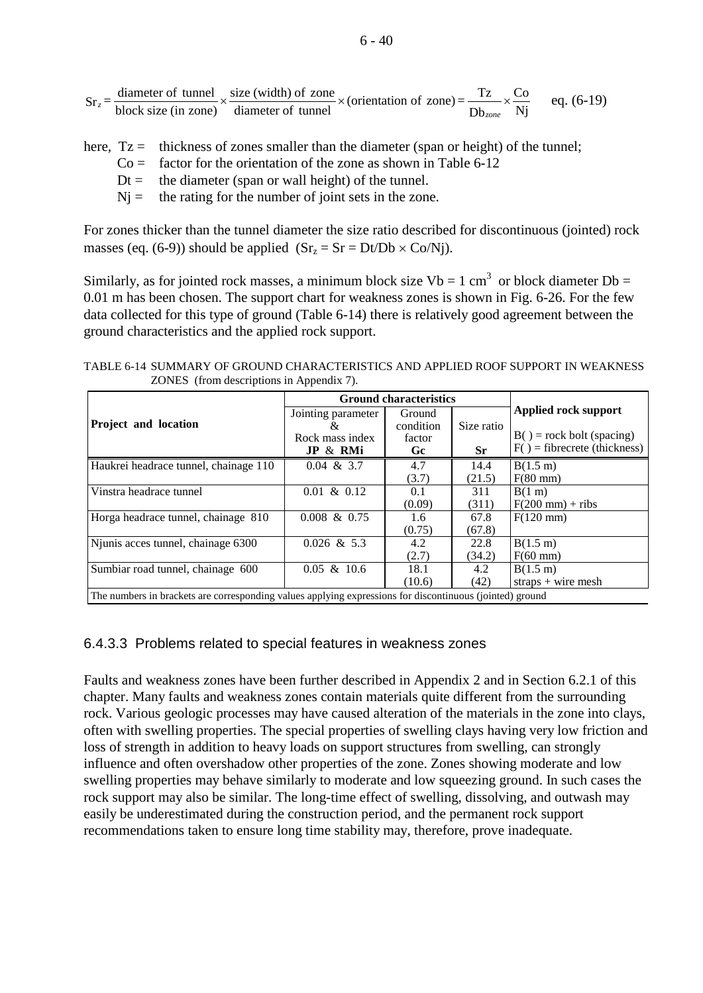$$
Sr_z = \frac{\text{diameter of tunnel}}{\text{block size (in zone)}} \times \frac{\text{size (width) of zone}}{\text{diameter of tunnel}} \times (\text{orientation of zone}) = \frac{Tz}{Dt_{zone}} \times \frac{Co}{Nj}
$$
eq. (6-19)

here,  $Tz =$  thickness of zones smaller than the diameter (span or height) of the tunnel;

- $Co =$  factor for the orientation of the zone as shown in Table 6-12
- $Dt =$  the diameter (span or wall height) of the tunnel.
- $Nj =$  the rating for the number of joint sets in the zone.

For zones thicker than the tunnel diameter the size ratio described for discontinuous (jointed) rock masses (eq. (6-9)) should be applied  $(Sr_z = Sr = Dt/Db \times Co/Ni)$ .

Similarly, as for jointed rock masses, a minimum block size  $Vb = 1$  cm<sup>3</sup> or block diameter  $Db =$ 0.01 m has been chosen. The support chart for weakness zones is shown in Fig. 6-26. For the few data collected for this type of ground (Table 6-14) there is relatively good agreement between the ground characteristics and the applied rock support.

TABLE 6-14 SUMMARY OF GROUND CHARACTERISTICS AND APPLIED ROOF SUPPORT IN WEAKNESS ZONES (from descriptions in Appendix 7).

|                                                                                                          | <b>Ground characteristics</b> |           |            |                                   |  |
|----------------------------------------------------------------------------------------------------------|-------------------------------|-----------|------------|-----------------------------------|--|
|                                                                                                          | Jointing parameter            | Ground    |            | Applied rock support              |  |
| Project and location                                                                                     | 8z                            | condition | Size ratio |                                   |  |
|                                                                                                          | Rock mass index               | factor    |            | $B() = rock bolt (spacing)$       |  |
|                                                                                                          | JP & RMi                      | Gc.       | <b>Sr</b>  | $F()$ = fibrecrete (thickness)    |  |
| Haukrei headrace tunnel, chainage 110                                                                    | $0.04 \& 3.7$                 | 4.7       | 14.4       | B(1.5 m)                          |  |
|                                                                                                          |                               | (3.7)     | (21.5)     | $F(80 \text{ mm})$                |  |
| Vinstra headrace tunnel                                                                                  | $0.01 \& 0.12$                | 0.1       | 311        | B(1 m)                            |  |
|                                                                                                          |                               | (0.09)    | (311)      | $F(200 \text{ mm}) + \text{ribs}$ |  |
| Horga headrace tunnel, chainage 810                                                                      | $0.008 \& 0.75$               | 1.6       | 67.8       | $F(120$ mm)                       |  |
|                                                                                                          |                               | (0.75)    | (67.8)     |                                   |  |
| Njunis acces tunnel, chainage 6300                                                                       | $0.026 \& 5.3$                | 4.2       | 22.8       | B(1.5 m)                          |  |
|                                                                                                          |                               | (2.7)     | (34.2)     | $F(60 \text{ mm})$                |  |
| Sumbiar road tunnel, chainage 600                                                                        | $0.05 \& 10.6$                | 18.1      | 4.2        | B(1.5 m)                          |  |
|                                                                                                          |                               | (10.6)    | (42)       | $straps + wire$ mesh              |  |
| The numbers in brackets are corresponding values applying expressions for discontinuous (jointed) ground |                               |           |            |                                   |  |

6.4.3.3 Problems related to special features in weakness zones

Faults and weakness zones have been further described in Appendix 2 and in Section 6.2.1 of this chapter. Many faults and weakness zones contain materials quite different from the surrounding rock. Various geologic processes may have caused alteration of the materials in the zone into clays, often with swelling properties. The special properties of swelling clays having very low friction and loss of strength in addition to heavy loads on support structures from swelling, can strongly influence and often overshadow other properties of the zone. Zones showing moderate and low swelling properties may behave similarly to moderate and low squeezing ground. In such cases the rock support may also be similar. The long-time effect of swelling, dissolving, and outwash may easily be underestimated during the construction period, and the permanent rock support recommendations taken to ensure long time stability may, therefore, prove inadequate.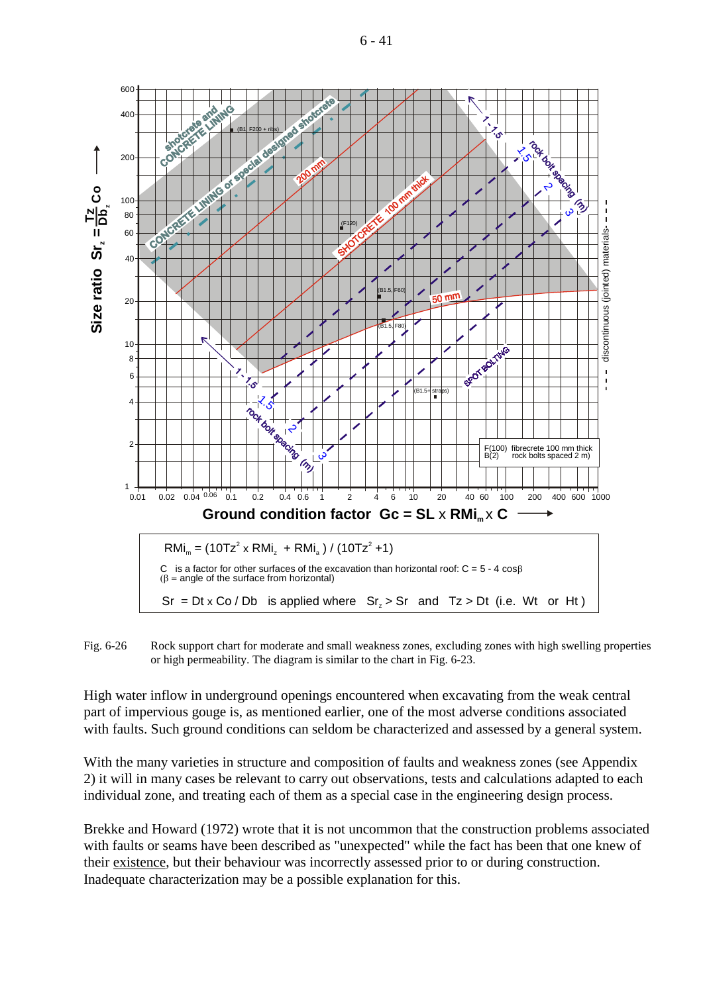6 - 41



Fig. 6-26 Rock support chart for moderate and small weakness zones, excluding zones with high swelling properties or high permeability. The diagram is similar to the chart in Fig. 6-23.

High water inflow in underground openings encountered when excavating from the weak central part of impervious gouge is, as mentioned earlier, one of the most adverse conditions associated with faults. Such ground conditions can seldom be characterized and assessed by a general system.

With the many varieties in structure and composition of faults and weakness zones (see Appendix 2) it will in many cases be relevant to carry out observations, tests and calculations adapted to each individual zone, and treating each of them as a special case in the engineering design process.

Brekke and Howard (1972) wrote that it is not uncommon that the construction problems associated with faults or seams have been described as "unexpected" while the fact has been that one knew of their existence, but their behaviour was incorrectly assessed prior to or during construction. Inadequate characterization may be a possible explanation for this.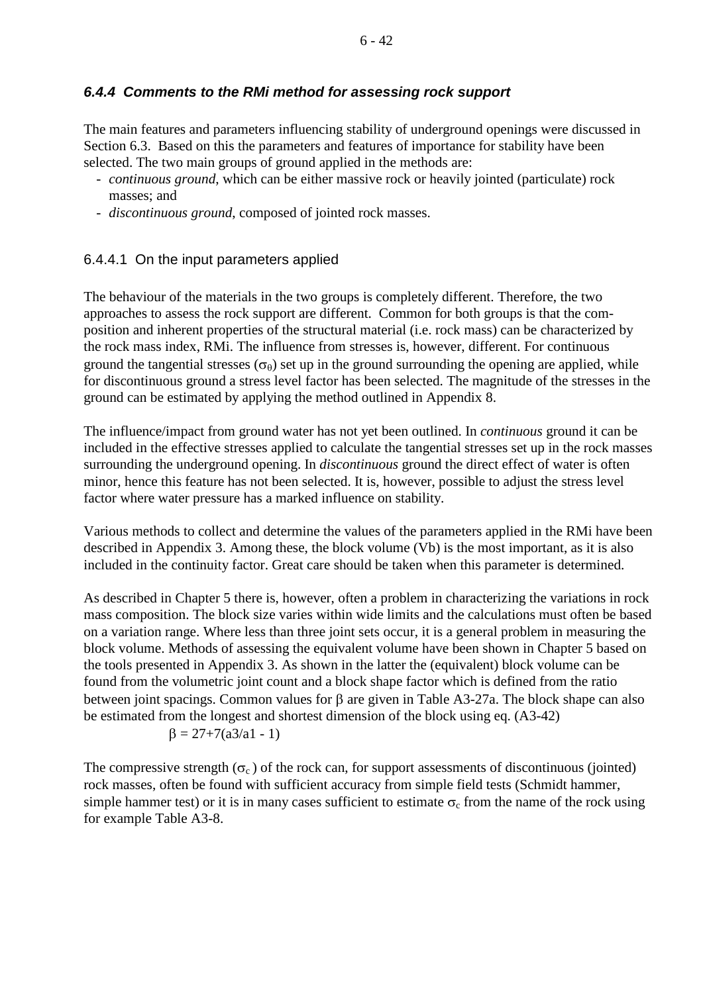## *6.4.4 Comments to the RMi method for assessing rock support*

The main features and parameters influencing stability of underground openings were discussed in Section 6.3. Based on this the parameters and features of importance for stability have been selected. The two main groups of ground applied in the methods are:

- *continuous ground*, which can be either massive rock or heavily jointed (particulate) rock masses; and
- *discontinuous ground*, composed of jointed rock masses.

## 6.4.4.1 On the input parameters applied

The behaviour of the materials in the two groups is completely different. Therefore, the two approaches to assess the rock support are different. Common for both groups is that the composition and inherent properties of the structural material (i.e. rock mass) can be characterized by the rock mass index, RMi. The influence from stresses is, however, different. For continuous ground the tangential stresses  $(\sigma_{\theta})$  set up in the ground surrounding the opening are applied, while for discontinuous ground a stress level factor has been selected. The magnitude of the stresses in the ground can be estimated by applying the method outlined in Appendix 8.

The influence/impact from ground water has not yet been outlined. In *continuous* ground it can be included in the effective stresses applied to calculate the tangential stresses set up in the rock masses surrounding the underground opening. In *discontinuous* ground the direct effect of water is often minor, hence this feature has not been selected. It is, however, possible to adjust the stress level factor where water pressure has a marked influence on stability.

Various methods to collect and determine the values of the parameters applied in the RMi have been described in Appendix 3. Among these, the block volume (Vb) is the most important, as it is also included in the continuity factor. Great care should be taken when this parameter is determined.

As described in Chapter 5 there is, however, often a problem in characterizing the variations in rock mass composition. The block size varies within wide limits and the calculations must often be based on a variation range. Where less than three joint sets occur, it is a general problem in measuring the block volume. Methods of assessing the equivalent volume have been shown in Chapter 5 based on the tools presented in Appendix 3. As shown in the latter the (equivalent) block volume can be found from the volumetric joint count and a block shape factor which is defined from the ratio between joint spacings. Common values for β are given in Table A3-27a. The block shape can also be estimated from the longest and shortest dimension of the block using eq. (A3-42)

$$
\beta = 27 + 7(a3/a1 - 1)
$$

The compressive strength  $(\sigma_c)$  of the rock can, for support assessments of discontinuous (jointed) rock masses, often be found with sufficient accuracy from simple field tests (Schmidt hammer, simple hammer test) or it is in many cases sufficient to estimate  $\sigma_c$  from the name of the rock using for example Table A3-8.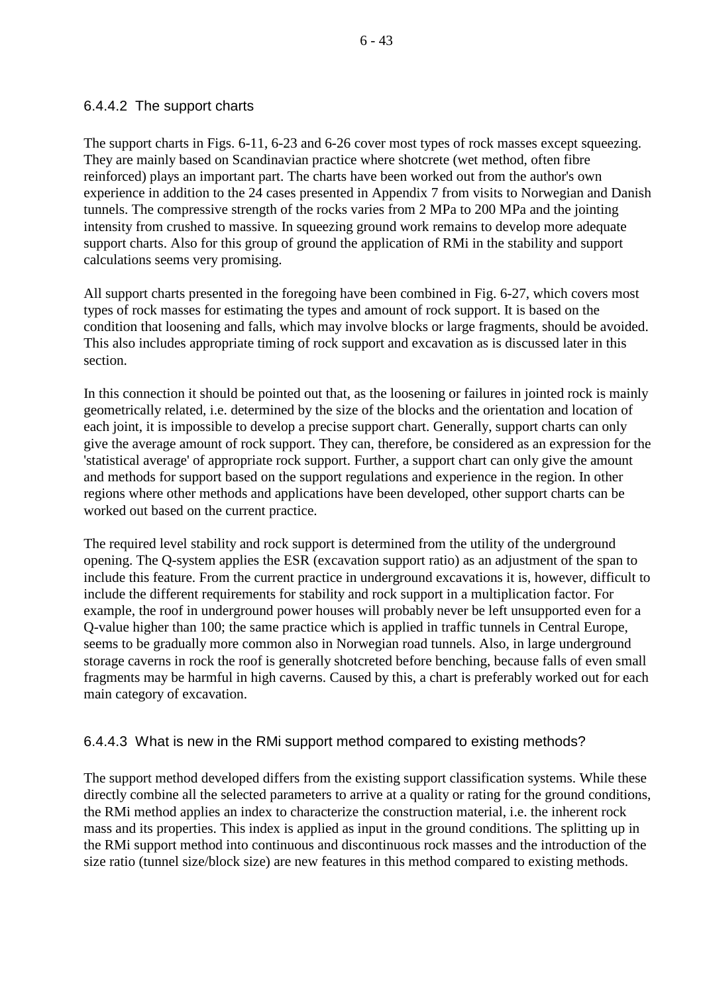## 6.4.4.2 The support charts

The support charts in Figs. 6-11, 6-23 and 6-26 cover most types of rock masses except squeezing. They are mainly based on Scandinavian practice where shotcrete (wet method, often fibre reinforced) plays an important part. The charts have been worked out from the author's own experience in addition to the 24 cases presented in Appendix 7 from visits to Norwegian and Danish tunnels. The compressive strength of the rocks varies from 2 MPa to 200 MPa and the jointing intensity from crushed to massive. In squeezing ground work remains to develop more adequate support charts. Also for this group of ground the application of RMi in the stability and support calculations seems very promising.

All support charts presented in the foregoing have been combined in Fig. 6-27, which covers most types of rock masses for estimating the types and amount of rock support. It is based on the condition that loosening and falls, which may involve blocks or large fragments, should be avoided. This also includes appropriate timing of rock support and excavation as is discussed later in this section.

In this connection it should be pointed out that, as the loosening or failures in jointed rock is mainly geometrically related, i.e. determined by the size of the blocks and the orientation and location of each joint, it is impossible to develop a precise support chart. Generally, support charts can only give the average amount of rock support. They can, therefore, be considered as an expression for the 'statistical average' of appropriate rock support. Further, a support chart can only give the amount and methods for support based on the support regulations and experience in the region. In other regions where other methods and applications have been developed, other support charts can be worked out based on the current practice.

The required level stability and rock support is determined from the utility of the underground opening. The Q-system applies the ESR (excavation support ratio) as an adjustment of the span to include this feature. From the current practice in underground excavations it is, however, difficult to include the different requirements for stability and rock support in a multiplication factor. For example, the roof in underground power houses will probably never be left unsupported even for a Q-value higher than 100; the same practice which is applied in traffic tunnels in Central Europe, seems to be gradually more common also in Norwegian road tunnels. Also, in large underground storage caverns in rock the roof is generally shotcreted before benching, because falls of even small fragments may be harmful in high caverns. Caused by this, a chart is preferably worked out for each main category of excavation.

## 6.4.4.3 What is new in the RMi support method compared to existing methods?

The support method developed differs from the existing support classification systems. While these directly combine all the selected parameters to arrive at a quality or rating for the ground conditions, the RMi method applies an index to characterize the construction material, i.e. the inherent rock mass and its properties. This index is applied as input in the ground conditions. The splitting up in the RMi support method into continuous and discontinuous rock masses and the introduction of the size ratio (tunnel size/block size) are new features in this method compared to existing methods.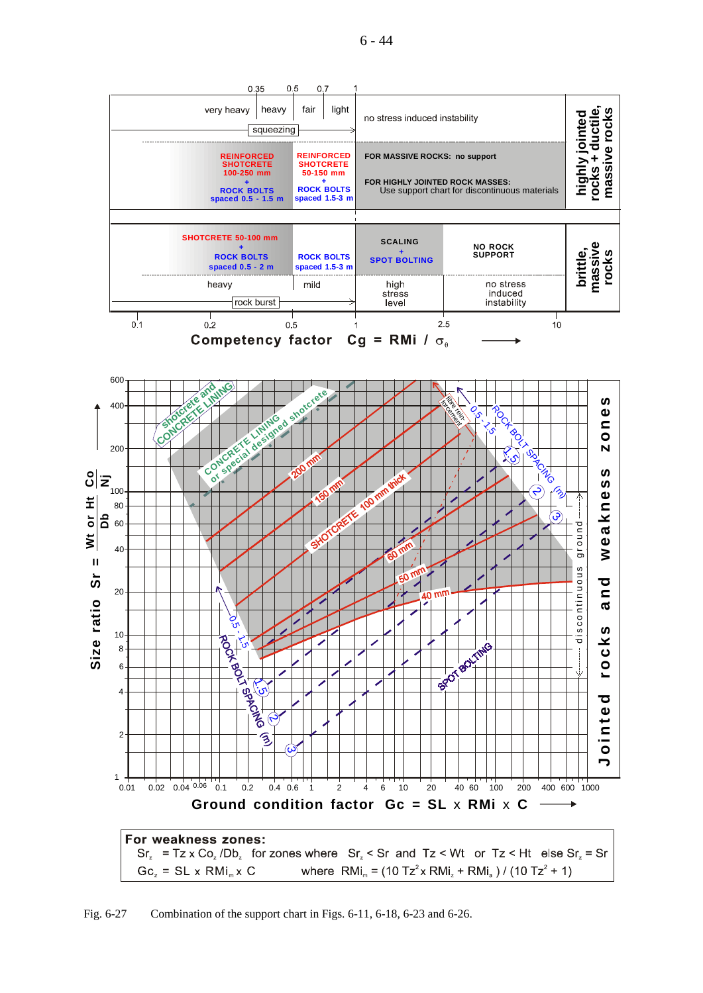6 - 44



Fig. 6-27 Combination of the support chart in Figs. 6-11, 6-18, 6-23 and 6-26.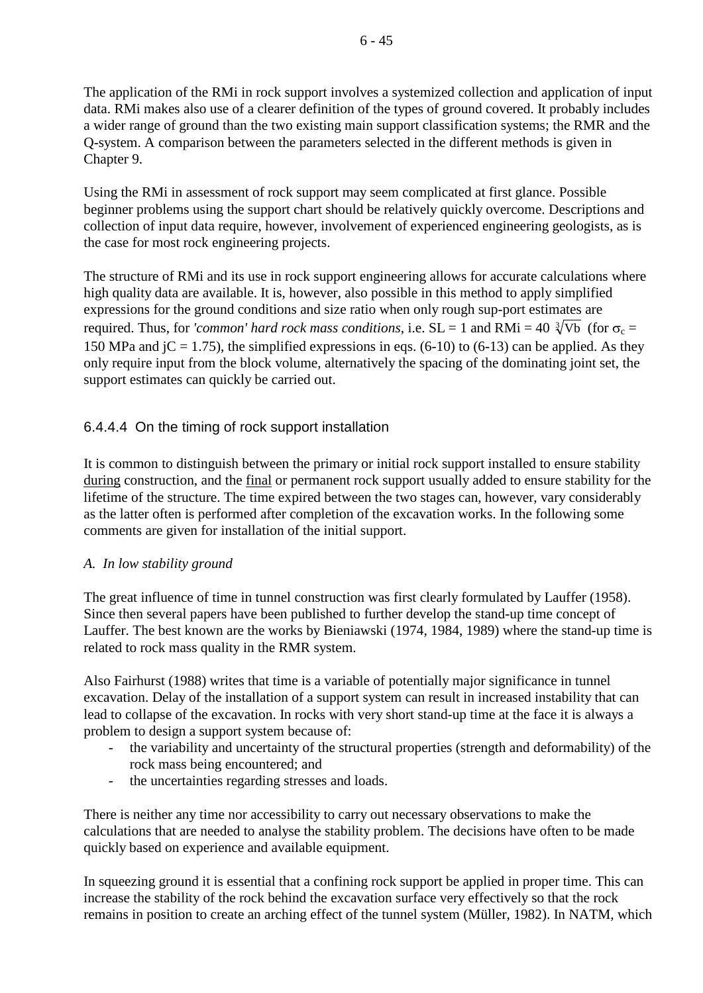The application of the RMi in rock support involves a systemized collection and application of input data. RMi makes also use of a clearer definition of the types of ground covered. It probably includes a wider range of ground than the two existing main support classification systems; the RMR and the Q-system. A comparison between the parameters selected in the different methods is given in Chapter 9.

Using the RMi in assessment of rock support may seem complicated at first glance. Possible beginner problems using the support chart should be relatively quickly overcome. Descriptions and collection of input data require, however, involvement of experienced engineering geologists, as is the case for most rock engineering projects.

The structure of RMi and its use in rock support engineering allows for accurate calculations where high quality data are available. It is, however, also possible in this method to apply simplified expressions for the ground conditions and size ratio when only rough sup-port estimates are required. Thus, for *'common' hard rock mass conditions*, i.e.  $SL = 1$  and  $RMi = 40 \sqrt[3]{Vb}$  (for  $\sigma_c =$ 150 MPa and jC = 1.75), the simplified expressions in eqs.  $(6-10)$  to  $(6-13)$  can be applied. As they only require input from the block volume, alternatively the spacing of the dominating joint set, the support estimates can quickly be carried out.

# 6.4.4.4 On the timing of rock support installation

It is common to distinguish between the primary or initial rock support installed to ensure stability during construction, and the final or permanent rock support usually added to ensure stability for the lifetime of the structure. The time expired between the two stages can, however, vary considerably as the latter often is performed after completion of the excavation works. In the following some comments are given for installation of the initial support.

## *A. In low stability ground*

The great influence of time in tunnel construction was first clearly formulated by Lauffer (1958). Since then several papers have been published to further develop the stand-up time concept of Lauffer. The best known are the works by Bieniawski (1974, 1984, 1989) where the stand-up time is related to rock mass quality in the RMR system.

Also Fairhurst (1988) writes that time is a variable of potentially major significance in tunnel excavation. Delay of the installation of a support system can result in increased instability that can lead to collapse of the excavation. In rocks with very short stand-up time at the face it is always a problem to design a support system because of:

- the variability and uncertainty of the structural properties (strength and deformability) of the rock mass being encountered; and
- the uncertainties regarding stresses and loads.

There is neither any time nor accessibility to carry out necessary observations to make the calculations that are needed to analyse the stability problem. The decisions have often to be made quickly based on experience and available equipment.

In squeezing ground it is essential that a confining rock support be applied in proper time. This can increase the stability of the rock behind the excavation surface very effectively so that the rock remains in position to create an arching effect of the tunnel system (Müller, 1982). In NATM, which